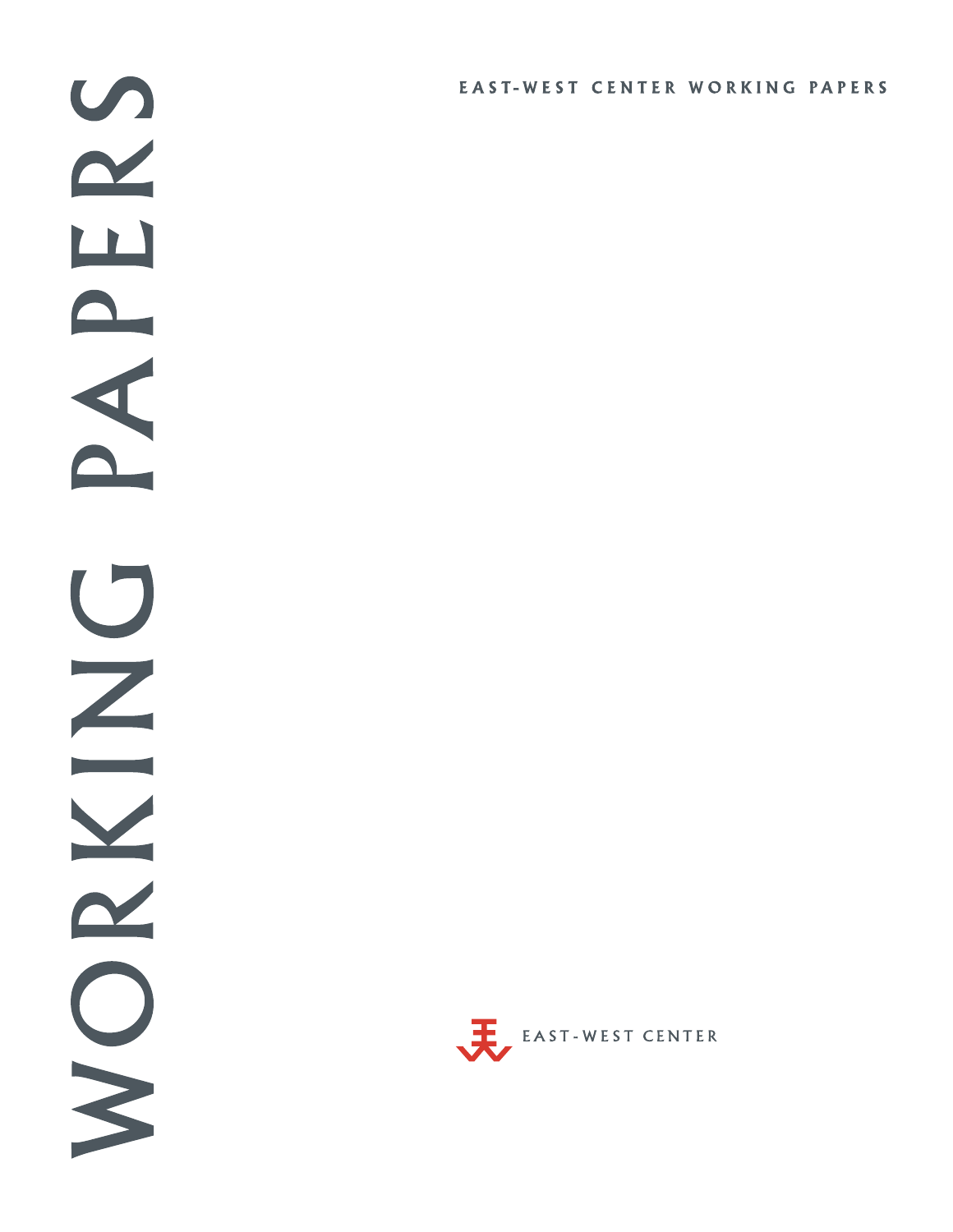$\bullet$  $\sim$  $\overline{\mathbf{L}}$  $\blacktriangle$ A  $\bigcup$  $\overline{z}$ Y  $\boldsymbol{\alpha}$ S

## EAST-WEST CENTER WORKING PAPERS

EAST-WEST CENTER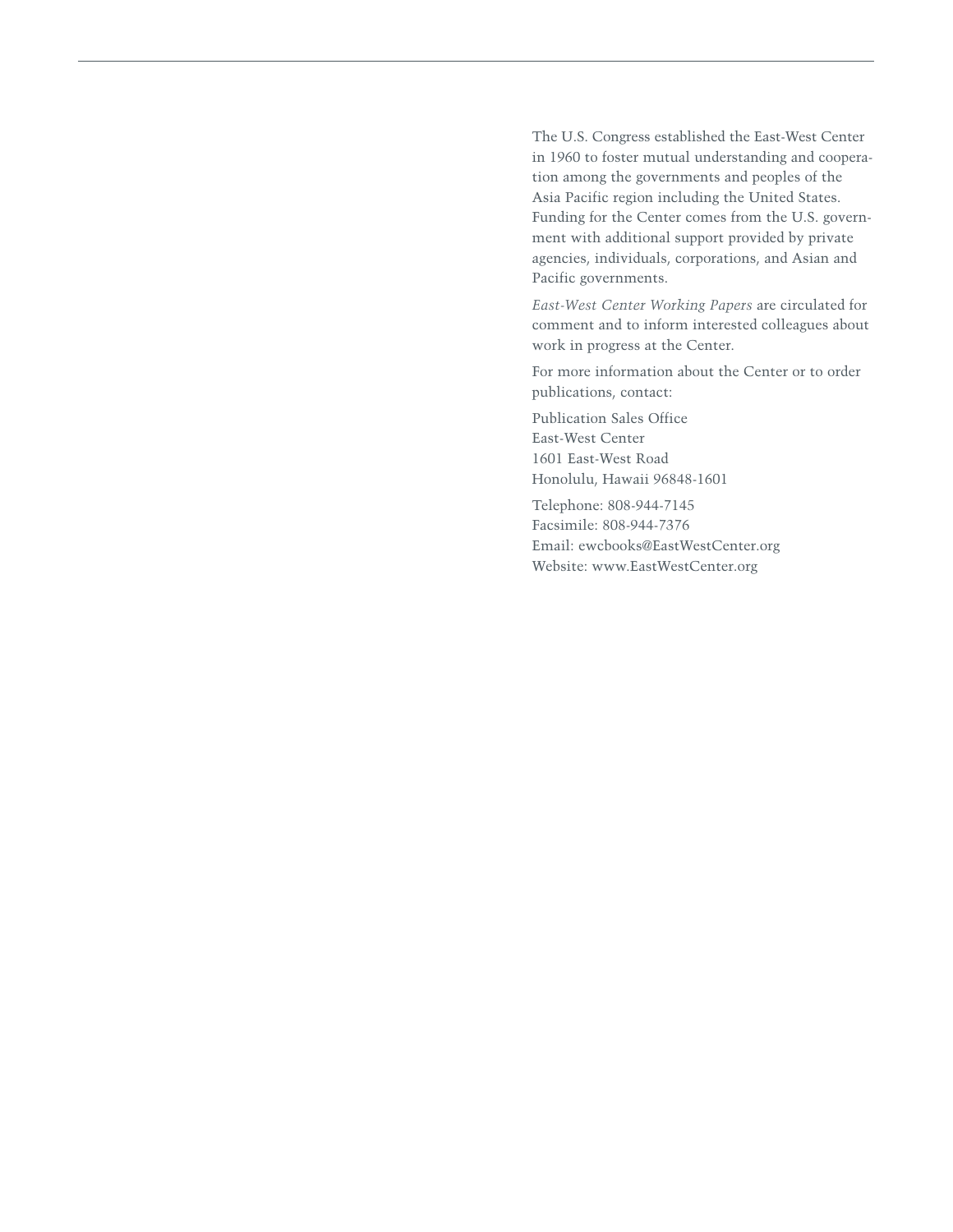The U.S. Congress established the East-West Center in 1960 to foster mutual understanding and cooperation among the governments and peoples of the Asia Pacific region including the United States. Funding for the Center comes from the U.S. government with additional support provided by private agencies, individuals, corporations, and Asian and Pacific governments.

*East-West Center Working Papers* are circulated for comment and to inform interested colleagues about work in progress at the Center.

For more information about the Center or to order publications, contact:

Publication Sales Office East-West Center 1601 East-West Road Honolulu, Hawaii 96848-1601

Telephone: 808-944-7145 Facsimile: 808-944-7376 Email: ewcbooks@EastWestCenter.org Website: www.EastWestCenter.org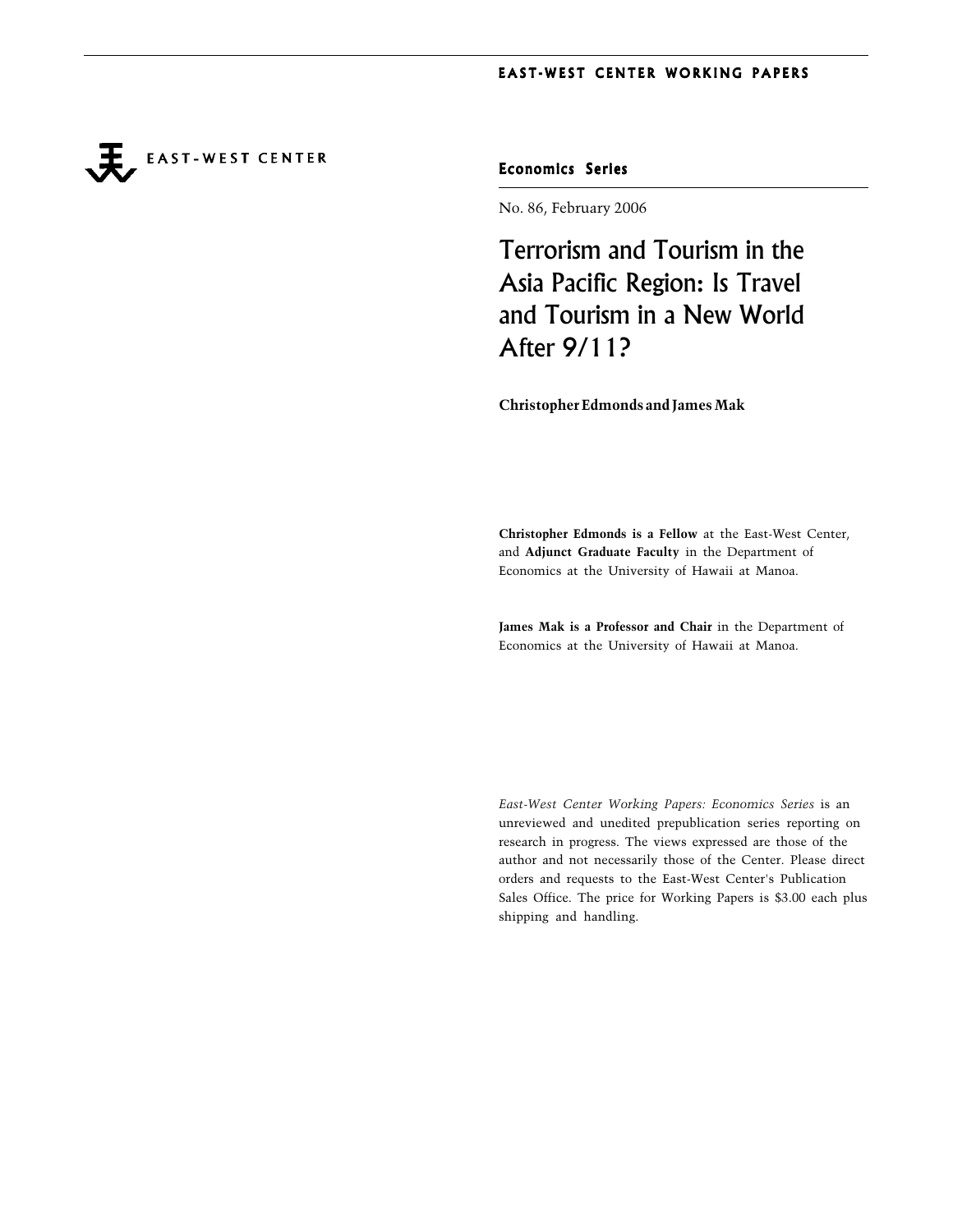**EAST-WEST CENTER** 

Economics Series

No. 86, February 2006

Terrorism and Tourism in the Asia Pacific Region: Is Travel and Tourism in a New World After 9/11?

**Christopher Edmonds and James Mak**

**Christopher Edmonds is a Fellow** at the East-West Center, and **Adjunct Graduate Faculty** in the Department of Economics at the University of Hawaii at Manoa.

**James Mak is a Professor and Chair** in the Department of Economics at the University of Hawaii at Manoa.

*East-West Center Working Papers: Economics Series* is an unreviewed and unedited prepublication series reporting on research in progress. The views expressed are those of the author and not necessarily those of the Center. Please direct orders and requests to the East-West Center's Publication Sales Office. The price for Working Papers is \$3.00 each plus shipping and handling.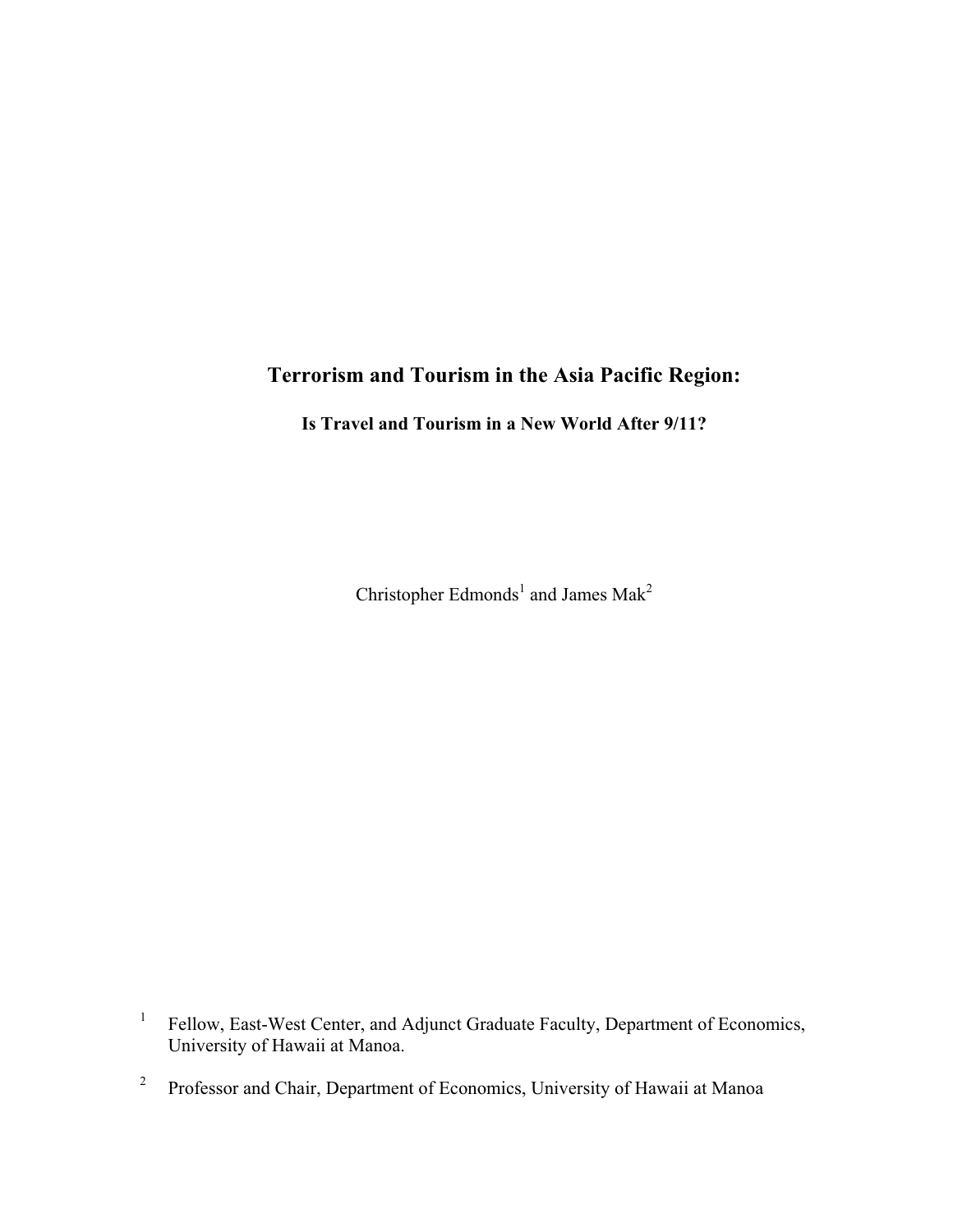# **Terrorism and Tourism in the Asia Pacific Region:**

**Is Travel and Tourism in a New World After 9/11?** 

Christopher Edmonds<sup>1</sup> and James Mak<sup>2</sup>

1 Fellow, East-West Center, and Adjunct Graduate Faculty, Department of Economics, University of Hawaii at Manoa.

2 Professor and Chair, Department of Economics, University of Hawaii at Manoa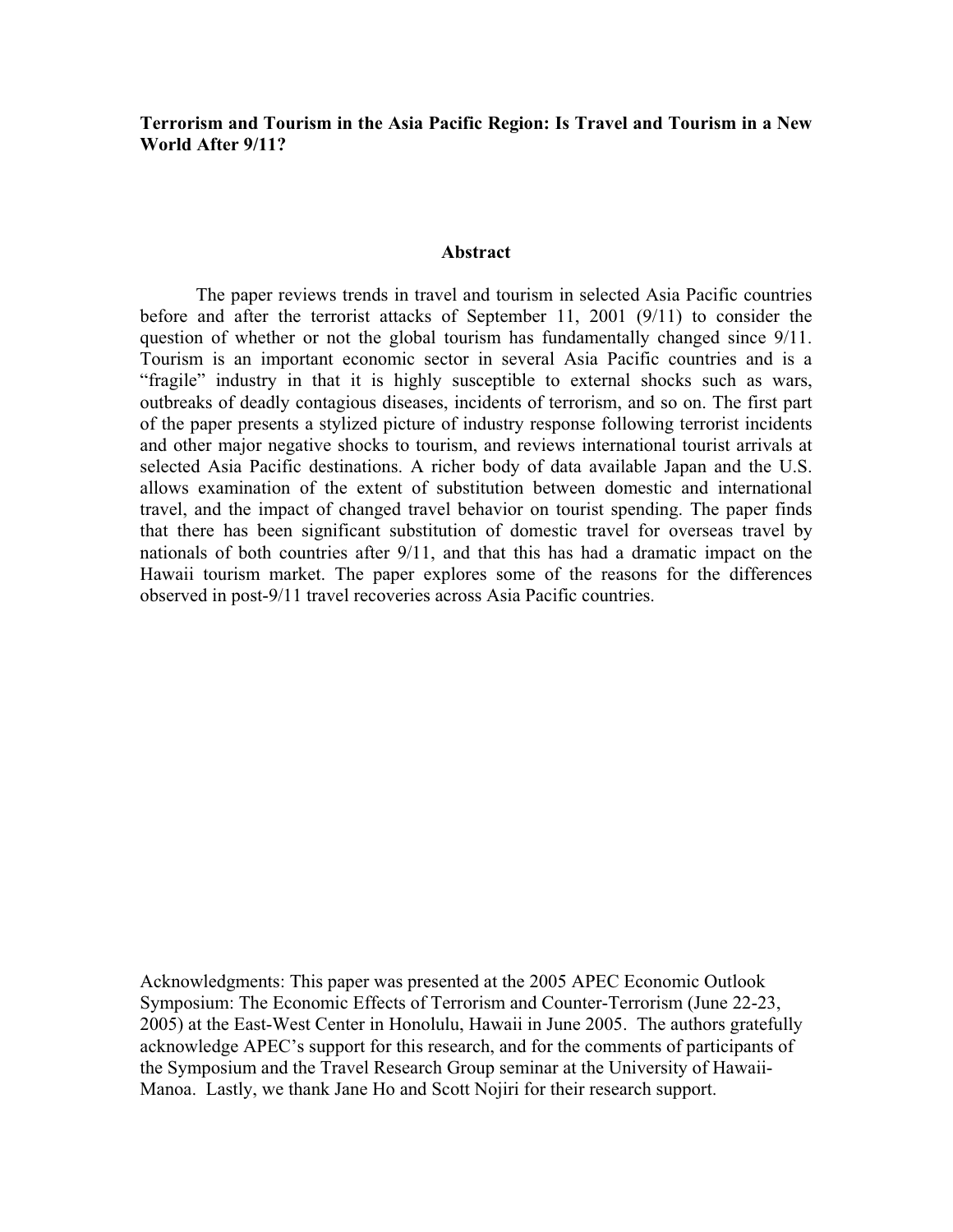**Terrorism and Tourism in the Asia Pacific Region: Is Travel and Tourism in a New World After 9/11?** 

#### **Abstract**

The paper reviews trends in travel and tourism in selected Asia Pacific countries before and after the terrorist attacks of September 11, 2001 (9/11) to consider the question of whether or not the global tourism has fundamentally changed since 9/11. Tourism is an important economic sector in several Asia Pacific countries and is a "fragile" industry in that it is highly susceptible to external shocks such as wars, outbreaks of deadly contagious diseases, incidents of terrorism, and so on. The first part of the paper presents a stylized picture of industry response following terrorist incidents and other major negative shocks to tourism, and reviews international tourist arrivals at selected Asia Pacific destinations. A richer body of data available Japan and the U.S. allows examination of the extent of substitution between domestic and international travel, and the impact of changed travel behavior on tourist spending. The paper finds that there has been significant substitution of domestic travel for overseas travel by nationals of both countries after 9/11, and that this has had a dramatic impact on the Hawaii tourism market. The paper explores some of the reasons for the differences observed in post-9/11 travel recoveries across Asia Pacific countries.

Acknowledgments: This paper was presented at the 2005 APEC Economic Outlook Symposium: The Economic Effects of Terrorism and Counter-Terrorism (June 22-23, 2005) at the East-West Center in Honolulu, Hawaii in June 2005. The authors gratefully acknowledge APEC's support for this research, and for the comments of participants of the Symposium and the Travel Research Group seminar at the University of Hawaii-Manoa. Lastly, we thank Jane Ho and Scott Nojiri for their research support.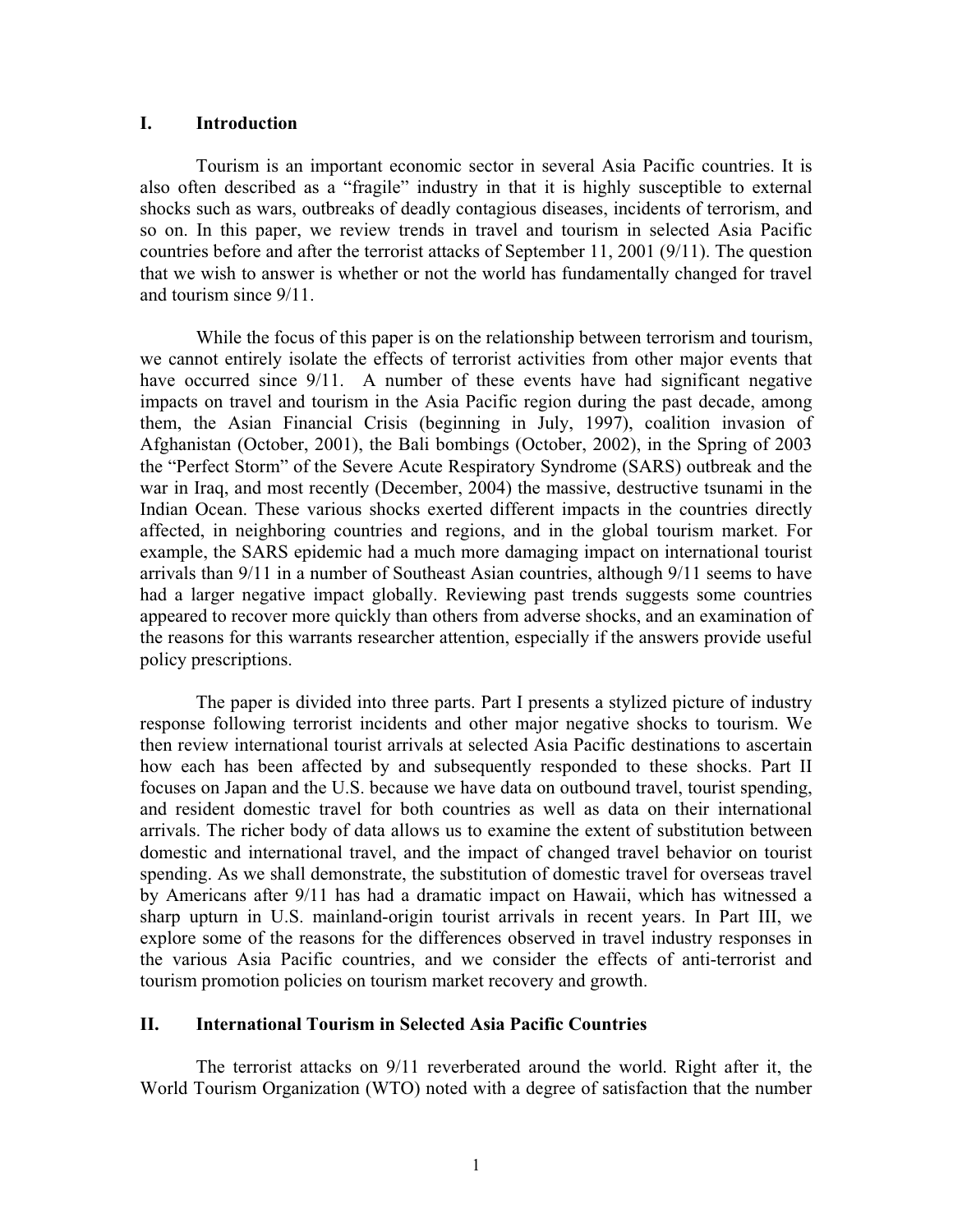## **I. Introduction**

Tourism is an important economic sector in several Asia Pacific countries. It is also often described as a "fragile" industry in that it is highly susceptible to external shocks such as wars, outbreaks of deadly contagious diseases, incidents of terrorism, and so on. In this paper, we review trends in travel and tourism in selected Asia Pacific countries before and after the terrorist attacks of September 11, 2001 (9/11). The question that we wish to answer is whether or not the world has fundamentally changed for travel and tourism since 9/11.

While the focus of this paper is on the relationship between terrorism and tourism, we cannot entirely isolate the effects of terrorist activities from other major events that have occurred since  $9/11$ . A number of these events have had significant negative impacts on travel and tourism in the Asia Pacific region during the past decade, among them, the Asian Financial Crisis (beginning in July, 1997), coalition invasion of Afghanistan (October, 2001), the Bali bombings (October, 2002), in the Spring of 2003 the "Perfect Storm" of the Severe Acute Respiratory Syndrome (SARS) outbreak and the war in Iraq, and most recently (December, 2004) the massive, destructive tsunami in the Indian Ocean. These various shocks exerted different impacts in the countries directly affected, in neighboring countries and regions, and in the global tourism market. For example, the SARS epidemic had a much more damaging impact on international tourist arrivals than 9/11 in a number of Southeast Asian countries, although 9/11 seems to have had a larger negative impact globally. Reviewing past trends suggests some countries appeared to recover more quickly than others from adverse shocks, and an examination of the reasons for this warrants researcher attention, especially if the answers provide useful policy prescriptions.

The paper is divided into three parts. Part I presents a stylized picture of industry response following terrorist incidents and other major negative shocks to tourism. We then review international tourist arrivals at selected Asia Pacific destinations to ascertain how each has been affected by and subsequently responded to these shocks. Part II focuses on Japan and the U.S. because we have data on outbound travel, tourist spending, and resident domestic travel for both countries as well as data on their international arrivals. The richer body of data allows us to examine the extent of substitution between domestic and international travel, and the impact of changed travel behavior on tourist spending. As we shall demonstrate, the substitution of domestic travel for overseas travel by Americans after 9/11 has had a dramatic impact on Hawaii, which has witnessed a sharp upturn in U.S. mainland-origin tourist arrivals in recent years. In Part III, we explore some of the reasons for the differences observed in travel industry responses in the various Asia Pacific countries, and we consider the effects of anti-terrorist and tourism promotion policies on tourism market recovery and growth.

#### **II. International Tourism in Selected Asia Pacific Countries**

The terrorist attacks on 9/11 reverberated around the world. Right after it, the World Tourism Organization (WTO) noted with a degree of satisfaction that the number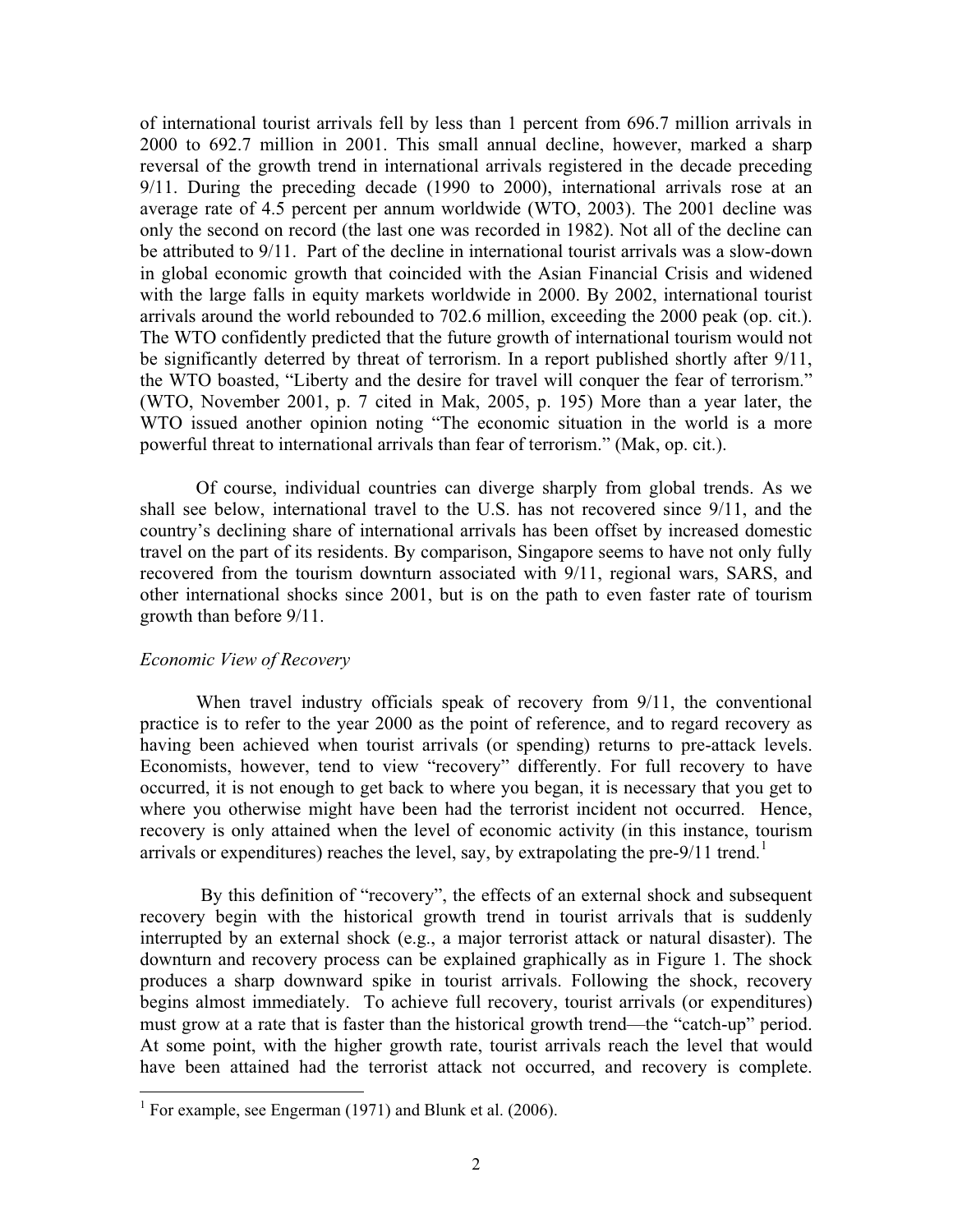of international tourist arrivals fell by less than 1 percent from 696.7 million arrivals in 2000 to 692.7 million in 2001. This small annual decline, however, marked a sharp reversal of the growth trend in international arrivals registered in the decade preceding 9/11. During the preceding decade (1990 to 2000), international arrivals rose at an average rate of 4.5 percent per annum worldwide (WTO, 2003). The 2001 decline was only the second on record (the last one was recorded in 1982). Not all of the decline can be attributed to 9/11. Part of the decline in international tourist arrivals was a slow-down in global economic growth that coincided with the Asian Financial Crisis and widened with the large falls in equity markets worldwide in 2000. By 2002, international tourist arrivals around the world rebounded to 702.6 million, exceeding the 2000 peak (op. cit.). The WTO confidently predicted that the future growth of international tourism would not be significantly deterred by threat of terrorism. In a report published shortly after 9/11, the WTO boasted, "Liberty and the desire for travel will conquer the fear of terrorism." (WTO, November 2001, p. 7 cited in Mak, 2005, p. 195) More than a year later, the WTO issued another opinion noting "The economic situation in the world is a more powerful threat to international arrivals than fear of terrorism." (Mak, op. cit.).

Of course, individual countries can diverge sharply from global trends. As we shall see below, international travel to the U.S. has not recovered since 9/11, and the country's declining share of international arrivals has been offset by increased domestic travel on the part of its residents. By comparison, Singapore seems to have not only fully recovered from the tourism downturn associated with 9/11, regional wars, SARS, and other international shocks since 2001, but is on the path to even faster rate of tourism growth than before 9/11.

#### *Economic View of Recovery*

When travel industry officials speak of recovery from 9/11, the conventional practice is to refer to the year 2000 as the point of reference, and to regard recovery as having been achieved when tourist arrivals (or spending) returns to pre-attack levels. Economists, however, tend to view "recovery" differently. For full recovery to have occurred, it is not enough to get back to where you began, it is necessary that you get to where you otherwise might have been had the terrorist incident not occurred. Hence, recovery is only attained when the level of economic activity (in this instance, tourism arrivals or expenditures) reaches the level, say, by extrapolating the pre- $9/11$  trend.<sup>1</sup>

 By this definition of "recovery", the effects of an external shock and subsequent recovery begin with the historical growth trend in tourist arrivals that is suddenly interrupted by an external shock (e.g., a major terrorist attack or natural disaster). The downturn and recovery process can be explained graphically as in Figure 1. The shock produces a sharp downward spike in tourist arrivals. Following the shock, recovery begins almost immediately. To achieve full recovery, tourist arrivals (or expenditures) must grow at a rate that is faster than the historical growth trend—the "catch-up" period. At some point, with the higher growth rate, tourist arrivals reach the level that would have been attained had the terrorist attack not occurred, and recovery is complete.

<sup>&</sup>lt;sup>1</sup> For example, see Engerman (1971) and Blunk et al. (2006).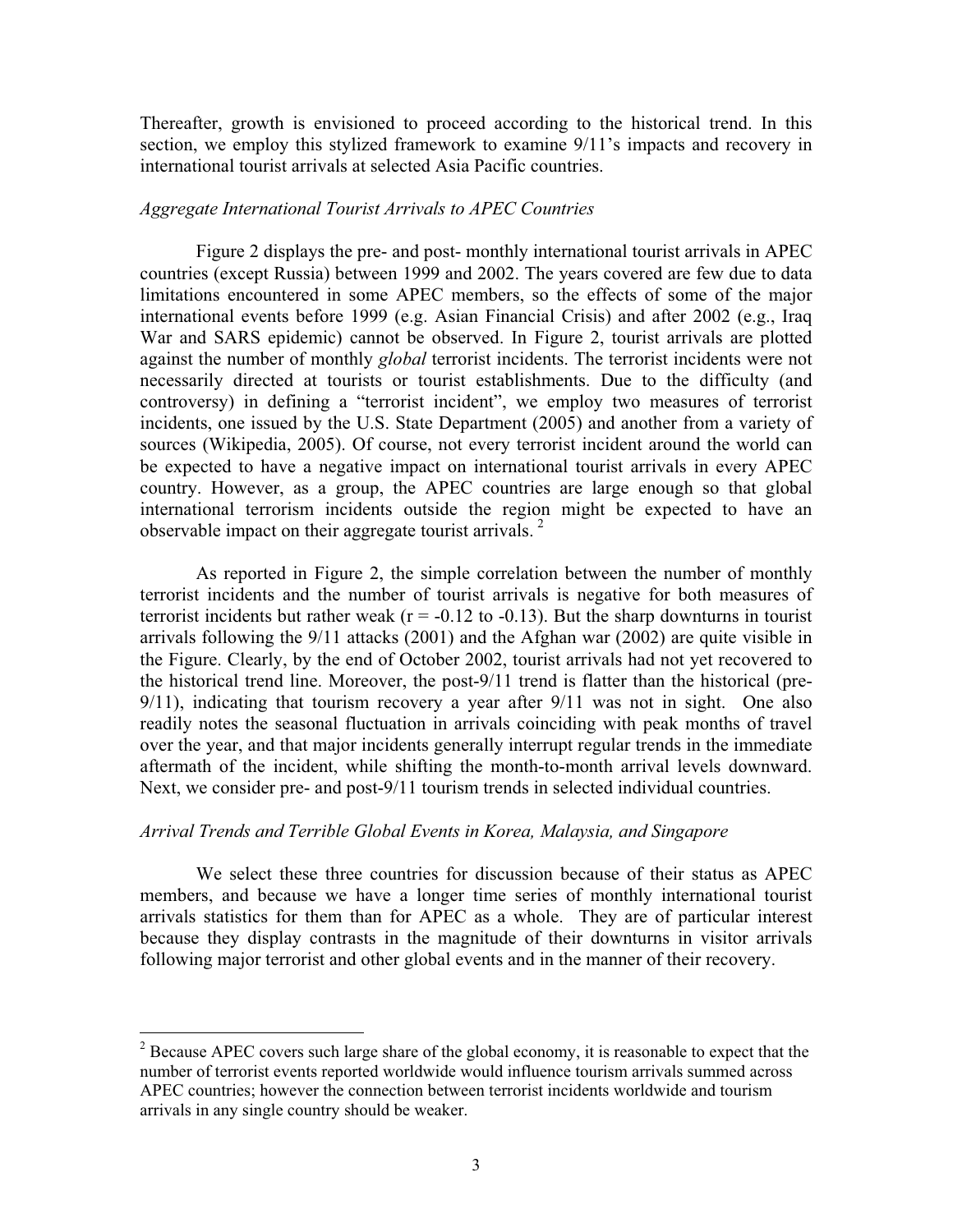Thereafter, growth is envisioned to proceed according to the historical trend. In this section, we employ this stylized framework to examine 9/11's impacts and recovery in international tourist arrivals at selected Asia Pacific countries.

### *Aggregate International Tourist Arrivals to APEC Countries*

Figure 2 displays the pre- and post- monthly international tourist arrivals in APEC countries (except Russia) between 1999 and 2002. The years covered are few due to data limitations encountered in some APEC members, so the effects of some of the major international events before 1999 (e.g. Asian Financial Crisis) and after 2002 (e.g., Iraq War and SARS epidemic) cannot be observed. In Figure 2, tourist arrivals are plotted against the number of monthly *global* terrorist incidents. The terrorist incidents were not necessarily directed at tourists or tourist establishments. Due to the difficulty (and controversy) in defining a "terrorist incident", we employ two measures of terrorist incidents, one issued by the U.S. State Department (2005) and another from a variety of sources (Wikipedia, 2005). Of course, not every terrorist incident around the world can be expected to have a negative impact on international tourist arrivals in every APEC country. However, as a group, the APEC countries are large enough so that global international terrorism incidents outside the region might be expected to have an observable impact on their aggregate tourist arrivals.  $2^{\circ}$ 

As reported in Figure 2, the simple correlation between the number of monthly terrorist incidents and the number of tourist arrivals is negative for both measures of terrorist incidents but rather weak ( $r = -0.12$  to  $-0.13$ ). But the sharp downturns in tourist arrivals following the 9/11 attacks (2001) and the Afghan war (2002) are quite visible in the Figure. Clearly, by the end of October 2002, tourist arrivals had not yet recovered to the historical trend line. Moreover, the post-9/11 trend is flatter than the historical (pre-9/11), indicating that tourism recovery a year after 9/11 was not in sight. One also readily notes the seasonal fluctuation in arrivals coinciding with peak months of travel over the year, and that major incidents generally interrupt regular trends in the immediate aftermath of the incident, while shifting the month-to-month arrival levels downward. Next, we consider pre- and post-9/11 tourism trends in selected individual countries.

#### *Arrival Trends and Terrible Global Events in Korea, Malaysia, and Singapore*

We select these three countries for discussion because of their status as APEC members, and because we have a longer time series of monthly international tourist arrivals statistics for them than for APEC as a whole. They are of particular interest because they display contrasts in the magnitude of their downturns in visitor arrivals following major terrorist and other global events and in the manner of their recovery.

 $2^2$  Because APEC covers such large share of the global economy, it is reasonable to expect that the number of terrorist events reported worldwide would influence tourism arrivals summed across APEC countries; however the connection between terrorist incidents worldwide and tourism arrivals in any single country should be weaker.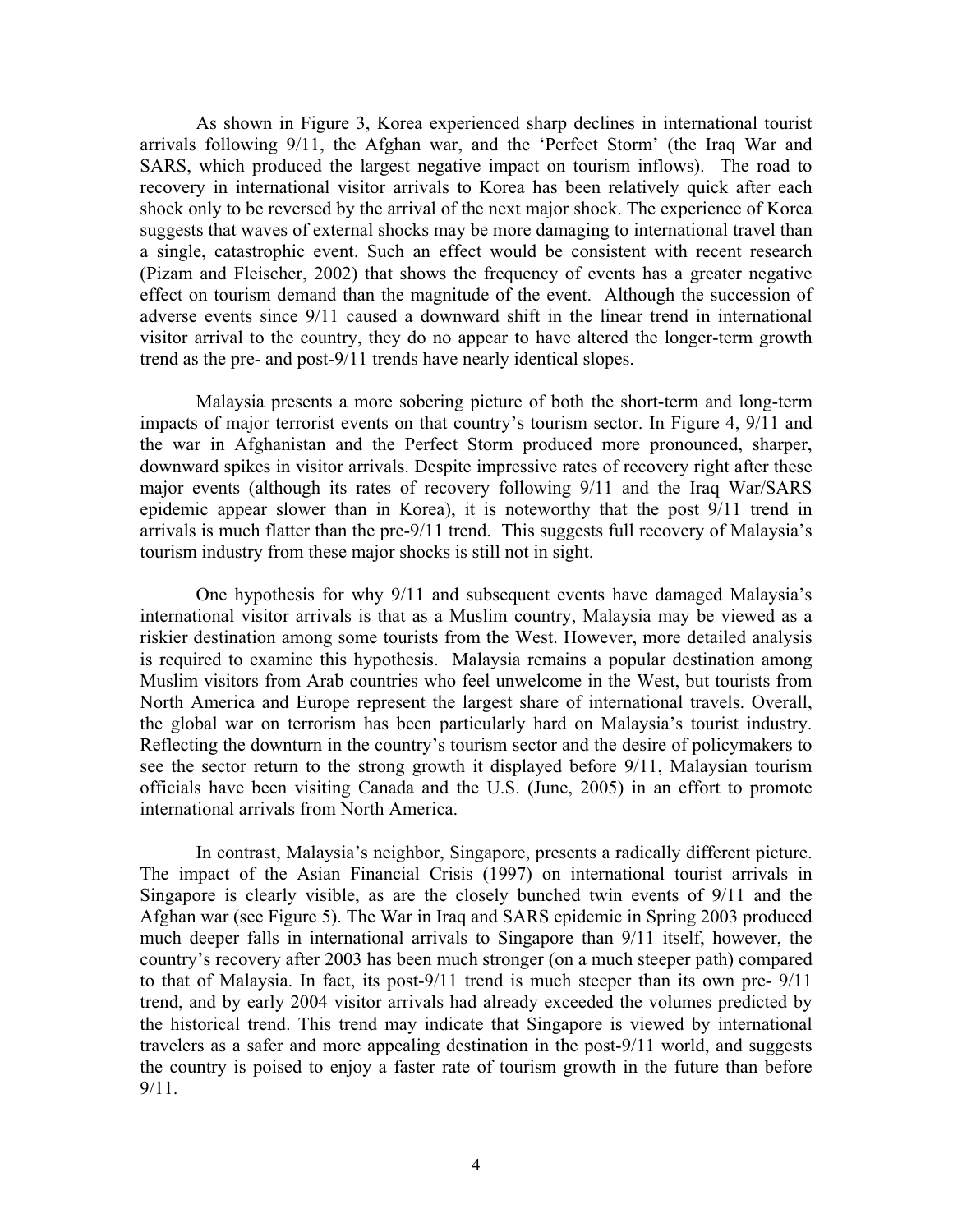As shown in Figure 3, Korea experienced sharp declines in international tourist arrivals following 9/11, the Afghan war, and the 'Perfect Storm' (the Iraq War and SARS, which produced the largest negative impact on tourism inflows). The road to recovery in international visitor arrivals to Korea has been relatively quick after each shock only to be reversed by the arrival of the next major shock. The experience of Korea suggests that waves of external shocks may be more damaging to international travel than a single, catastrophic event. Such an effect would be consistent with recent research (Pizam and Fleischer, 2002) that shows the frequency of events has a greater negative effect on tourism demand than the magnitude of the event. Although the succession of adverse events since 9/11 caused a downward shift in the linear trend in international visitor arrival to the country, they do no appear to have altered the longer-term growth trend as the pre- and post-9/11 trends have nearly identical slopes.

Malaysia presents a more sobering picture of both the short-term and long-term impacts of major terrorist events on that country's tourism sector. In Figure 4, 9/11 and the war in Afghanistan and the Perfect Storm produced more pronounced, sharper, downward spikes in visitor arrivals. Despite impressive rates of recovery right after these major events (although its rates of recovery following 9/11 and the Iraq War/SARS epidemic appear slower than in Korea), it is noteworthy that the post 9/11 trend in arrivals is much flatter than the pre-9/11 trend. This suggests full recovery of Malaysia's tourism industry from these major shocks is still not in sight.

One hypothesis for why 9/11 and subsequent events have damaged Malaysia's international visitor arrivals is that as a Muslim country, Malaysia may be viewed as a riskier destination among some tourists from the West. However, more detailed analysis is required to examine this hypothesis. Malaysia remains a popular destination among Muslim visitors from Arab countries who feel unwelcome in the West, but tourists from North America and Europe represent the largest share of international travels. Overall, the global war on terrorism has been particularly hard on Malaysia's tourist industry. Reflecting the downturn in the country's tourism sector and the desire of policymakers to see the sector return to the strong growth it displayed before 9/11, Malaysian tourism officials have been visiting Canada and the U.S. (June, 2005) in an effort to promote international arrivals from North America.

In contrast, Malaysia's neighbor, Singapore, presents a radically different picture. The impact of the Asian Financial Crisis (1997) on international tourist arrivals in Singapore is clearly visible, as are the closely bunched twin events of 9/11 and the Afghan war (see Figure 5). The War in Iraq and SARS epidemic in Spring 2003 produced much deeper falls in international arrivals to Singapore than 9/11 itself, however, the country's recovery after 2003 has been much stronger (on a much steeper path) compared to that of Malaysia. In fact, its post-9/11 trend is much steeper than its own pre- 9/11 trend, and by early 2004 visitor arrivals had already exceeded the volumes predicted by the historical trend. This trend may indicate that Singapore is viewed by international travelers as a safer and more appealing destination in the post-9/11 world, and suggests the country is poised to enjoy a faster rate of tourism growth in the future than before 9/11.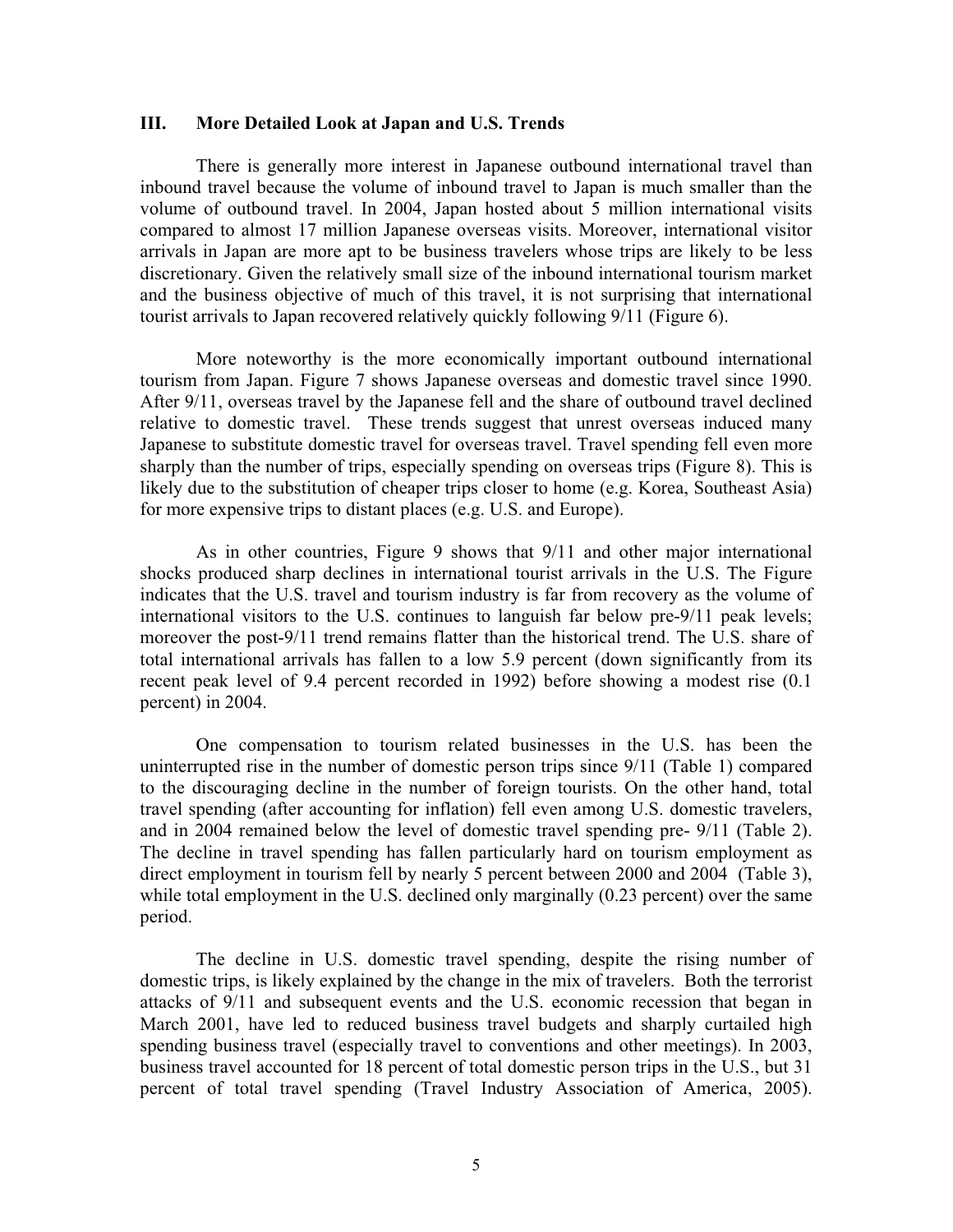#### **III. More Detailed Look at Japan and U.S. Trends**

There is generally more interest in Japanese outbound international travel than inbound travel because the volume of inbound travel to Japan is much smaller than the volume of outbound travel. In 2004, Japan hosted about 5 million international visits compared to almost 17 million Japanese overseas visits. Moreover, international visitor arrivals in Japan are more apt to be business travelers whose trips are likely to be less discretionary. Given the relatively small size of the inbound international tourism market and the business objective of much of this travel, it is not surprising that international tourist arrivals to Japan recovered relatively quickly following 9/11 (Figure 6).

More noteworthy is the more economically important outbound international tourism from Japan. Figure 7 shows Japanese overseas and domestic travel since 1990. After 9/11, overseas travel by the Japanese fell and the share of outbound travel declined relative to domestic travel. These trends suggest that unrest overseas induced many Japanese to substitute domestic travel for overseas travel. Travel spending fell even more sharply than the number of trips, especially spending on overseas trips (Figure 8). This is likely due to the substitution of cheaper trips closer to home (e.g. Korea, Southeast Asia) for more expensive trips to distant places (e.g. U.S. and Europe).

As in other countries, Figure 9 shows that 9/11 and other major international shocks produced sharp declines in international tourist arrivals in the U.S. The Figure indicates that the U.S. travel and tourism industry is far from recovery as the volume of international visitors to the U.S. continues to languish far below pre-9/11 peak levels; moreover the post-9/11 trend remains flatter than the historical trend. The U.S. share of total international arrivals has fallen to a low 5.9 percent (down significantly from its recent peak level of 9.4 percent recorded in 1992) before showing a modest rise (0.1 percent) in 2004.

One compensation to tourism related businesses in the U.S. has been the uninterrupted rise in the number of domestic person trips since 9/11 (Table 1) compared to the discouraging decline in the number of foreign tourists. On the other hand, total travel spending (after accounting for inflation) fell even among U.S. domestic travelers, and in 2004 remained below the level of domestic travel spending pre- 9/11 (Table 2). The decline in travel spending has fallen particularly hard on tourism employment as direct employment in tourism fell by nearly 5 percent between 2000 and 2004 (Table 3), while total employment in the U.S. declined only marginally  $(0.23$  percent) over the same period.

The decline in U.S. domestic travel spending, despite the rising number of domestic trips, is likely explained by the change in the mix of travelers. Both the terrorist attacks of 9/11 and subsequent events and the U.S. economic recession that began in March 2001, have led to reduced business travel budgets and sharply curtailed high spending business travel (especially travel to conventions and other meetings). In 2003, business travel accounted for 18 percent of total domestic person trips in the U.S., but 31 percent of total travel spending (Travel Industry Association of America, 2005).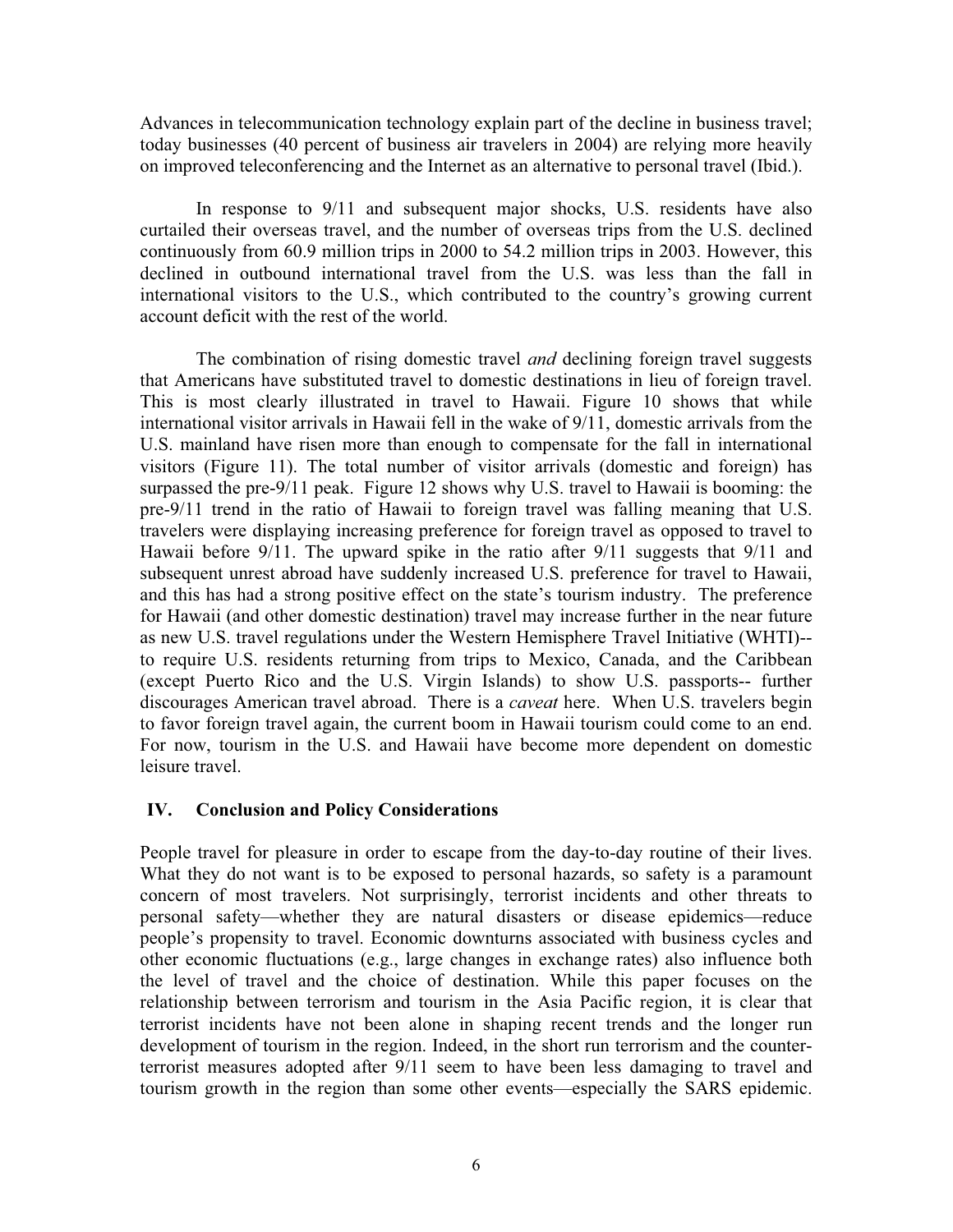Advances in telecommunication technology explain part of the decline in business travel; today businesses (40 percent of business air travelers in 2004) are relying more heavily on improved teleconferencing and the Internet as an alternative to personal travel (Ibid.).

In response to 9/11 and subsequent major shocks, U.S. residents have also curtailed their overseas travel, and the number of overseas trips from the U.S. declined continuously from 60.9 million trips in 2000 to 54.2 million trips in 2003. However, this declined in outbound international travel from the U.S. was less than the fall in international visitors to the U.S., which contributed to the country's growing current account deficit with the rest of the world.

The combination of rising domestic travel *and* declining foreign travel suggests that Americans have substituted travel to domestic destinations in lieu of foreign travel. This is most clearly illustrated in travel to Hawaii. Figure 10 shows that while international visitor arrivals in Hawaii fell in the wake of 9/11, domestic arrivals from the U.S. mainland have risen more than enough to compensate for the fall in international visitors (Figure 11). The total number of visitor arrivals (domestic and foreign) has surpassed the pre-9/11 peak. Figure 12 shows why U.S. travel to Hawaii is booming: the pre-9/11 trend in the ratio of Hawaii to foreign travel was falling meaning that U.S. travelers were displaying increasing preference for foreign travel as opposed to travel to Hawaii before 9/11. The upward spike in the ratio after 9/11 suggests that 9/11 and subsequent unrest abroad have suddenly increased U.S. preference for travel to Hawaii, and this has had a strong positive effect on the state's tourism industry. The preference for Hawaii (and other domestic destination) travel may increase further in the near future as new U.S. travel regulations under the Western Hemisphere Travel Initiative (WHTI)- to require U.S. residents returning from trips to Mexico, Canada, and the Caribbean (except Puerto Rico and the U.S. Virgin Islands) to show U.S. passports-- further discourages American travel abroad. There is a *caveat* here. When U.S. travelers begin to favor foreign travel again, the current boom in Hawaii tourism could come to an end. For now, tourism in the U.S. and Hawaii have become more dependent on domestic leisure travel.

## **IV. Conclusion and Policy Considerations**

People travel for pleasure in order to escape from the day-to-day routine of their lives. What they do not want is to be exposed to personal hazards, so safety is a paramount concern of most travelers. Not surprisingly, terrorist incidents and other threats to personal safety—whether they are natural disasters or disease epidemics—reduce people's propensity to travel. Economic downturns associated with business cycles and other economic fluctuations (e.g., large changes in exchange rates) also influence both the level of travel and the choice of destination. While this paper focuses on the relationship between terrorism and tourism in the Asia Pacific region, it is clear that terrorist incidents have not been alone in shaping recent trends and the longer run development of tourism in the region. Indeed, in the short run terrorism and the counterterrorist measures adopted after 9/11 seem to have been less damaging to travel and tourism growth in the region than some other events—especially the SARS epidemic.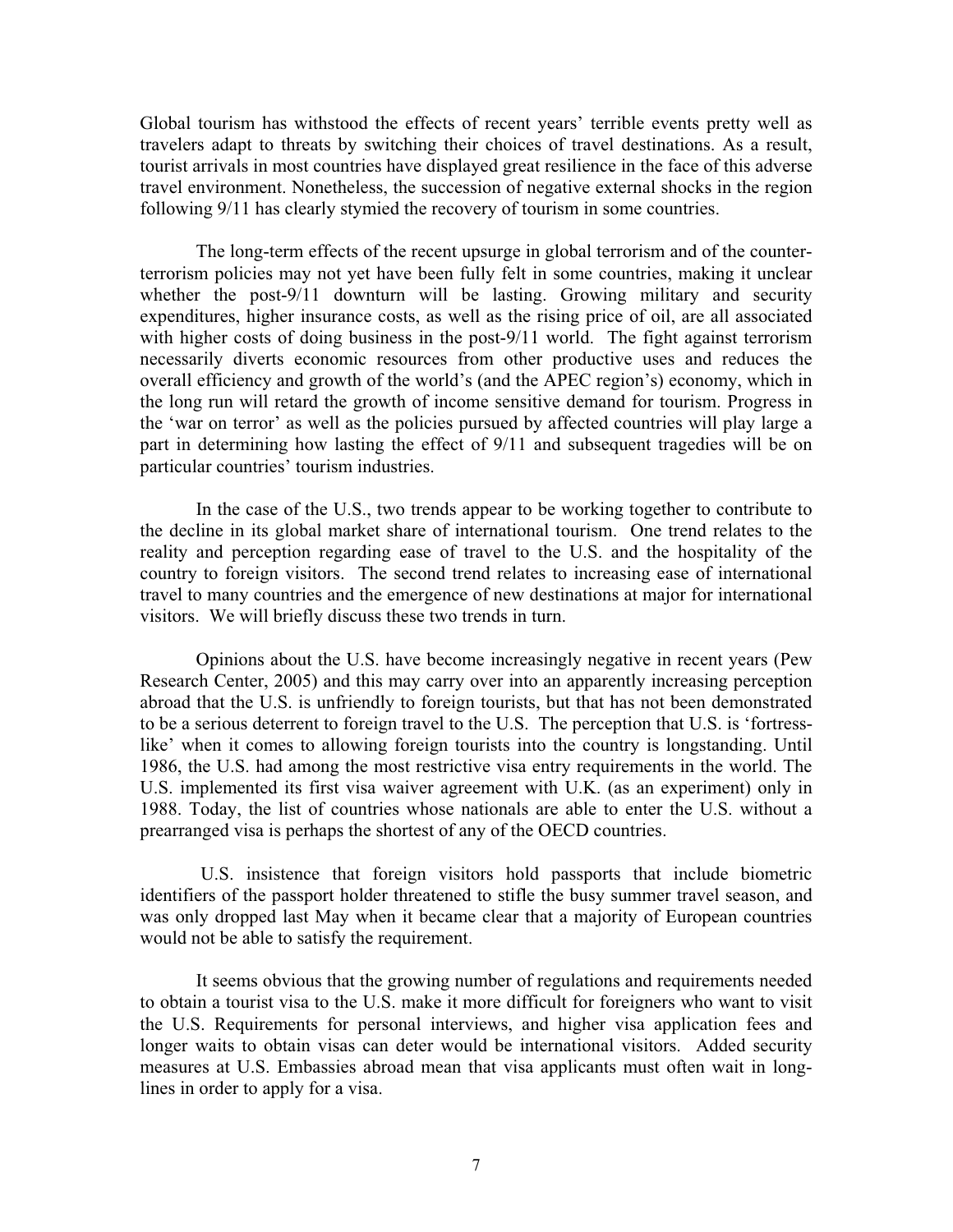Global tourism has withstood the effects of recent years' terrible events pretty well as travelers adapt to threats by switching their choices of travel destinations. As a result, tourist arrivals in most countries have displayed great resilience in the face of this adverse travel environment. Nonetheless, the succession of negative external shocks in the region following 9/11 has clearly stymied the recovery of tourism in some countries.

The long-term effects of the recent upsurge in global terrorism and of the counterterrorism policies may not yet have been fully felt in some countries, making it unclear whether the post-9/11 downturn will be lasting. Growing military and security expenditures, higher insurance costs, as well as the rising price of oil, are all associated with higher costs of doing business in the post-9/11 world. The fight against terrorism necessarily diverts economic resources from other productive uses and reduces the overall efficiency and growth of the world's (and the APEC region's) economy, which in the long run will retard the growth of income sensitive demand for tourism. Progress in the 'war on terror' as well as the policies pursued by affected countries will play large a part in determining how lasting the effect of 9/11 and subsequent tragedies will be on particular countries' tourism industries.

In the case of the U.S., two trends appear to be working together to contribute to the decline in its global market share of international tourism. One trend relates to the reality and perception regarding ease of travel to the U.S. and the hospitality of the country to foreign visitors. The second trend relates to increasing ease of international travel to many countries and the emergence of new destinations at major for international visitors. We will briefly discuss these two trends in turn.

Opinions about the U.S. have become increasingly negative in recent years (Pew Research Center, 2005) and this may carry over into an apparently increasing perception abroad that the U.S. is unfriendly to foreign tourists, but that has not been demonstrated to be a serious deterrent to foreign travel to the U.S. The perception that U.S. is 'fortresslike' when it comes to allowing foreign tourists into the country is longstanding. Until 1986, the U.S. had among the most restrictive visa entry requirements in the world. The U.S. implemented its first visa waiver agreement with U.K. (as an experiment) only in 1988. Today, the list of countries whose nationals are able to enter the U.S. without a prearranged visa is perhaps the shortest of any of the OECD countries.

 U.S. insistence that foreign visitors hold passports that include biometric identifiers of the passport holder threatened to stifle the busy summer travel season, and was only dropped last May when it became clear that a majority of European countries would not be able to satisfy the requirement.

It seems obvious that the growing number of regulations and requirements needed to obtain a tourist visa to the U.S. make it more difficult for foreigners who want to visit the U.S. Requirements for personal interviews, and higher visa application fees and longer waits to obtain visas can deter would be international visitors. Added security measures at U.S. Embassies abroad mean that visa applicants must often wait in longlines in order to apply for a visa.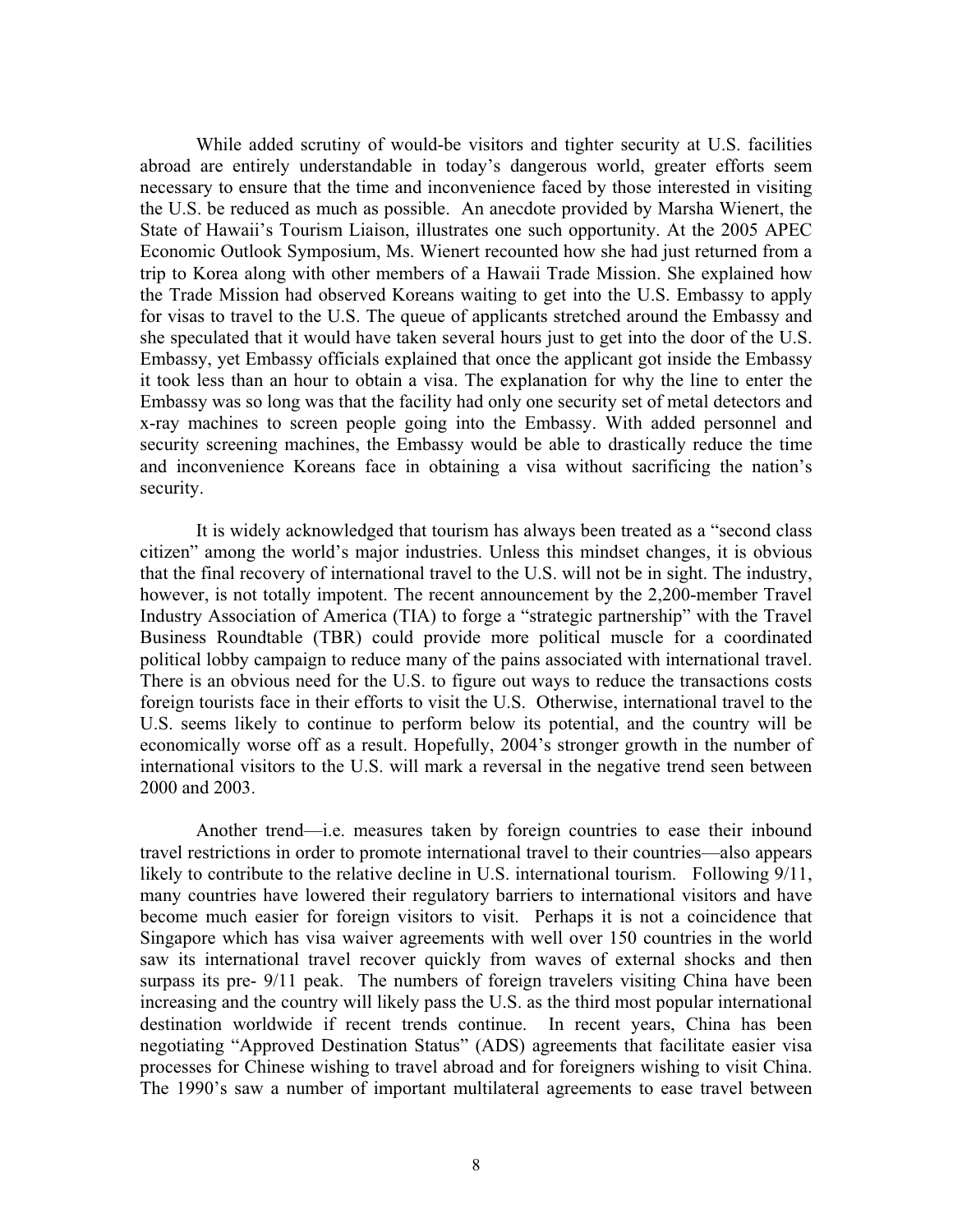While added scrutiny of would-be visitors and tighter security at U.S. facilities abroad are entirely understandable in today's dangerous world, greater efforts seem necessary to ensure that the time and inconvenience faced by those interested in visiting the U.S. be reduced as much as possible. An anecdote provided by Marsha Wienert, the State of Hawaii's Tourism Liaison, illustrates one such opportunity. At the 2005 APEC Economic Outlook Symposium, Ms. Wienert recounted how she had just returned from a trip to Korea along with other members of a Hawaii Trade Mission. She explained how the Trade Mission had observed Koreans waiting to get into the U.S. Embassy to apply for visas to travel to the U.S. The queue of applicants stretched around the Embassy and she speculated that it would have taken several hours just to get into the door of the U.S. Embassy, yet Embassy officials explained that once the applicant got inside the Embassy it took less than an hour to obtain a visa. The explanation for why the line to enter the Embassy was so long was that the facility had only one security set of metal detectors and x-ray machines to screen people going into the Embassy. With added personnel and security screening machines, the Embassy would be able to drastically reduce the time and inconvenience Koreans face in obtaining a visa without sacrificing the nation's security.

It is widely acknowledged that tourism has always been treated as a "second class citizen" among the world's major industries. Unless this mindset changes, it is obvious that the final recovery of international travel to the U.S. will not be in sight. The industry, however, is not totally impotent. The recent announcement by the 2,200-member Travel Industry Association of America (TIA) to forge a "strategic partnership" with the Travel Business Roundtable (TBR) could provide more political muscle for a coordinated political lobby campaign to reduce many of the pains associated with international travel. There is an obvious need for the U.S. to figure out ways to reduce the transactions costs foreign tourists face in their efforts to visit the U.S. Otherwise, international travel to the U.S. seems likely to continue to perform below its potential, and the country will be economically worse off as a result. Hopefully, 2004's stronger growth in the number of international visitors to the U.S. will mark a reversal in the negative trend seen between 2000 and 2003.

Another trend—i.e. measures taken by foreign countries to ease their inbound travel restrictions in order to promote international travel to their countries—also appears likely to contribute to the relative decline in U.S. international tourism. Following 9/11, many countries have lowered their regulatory barriers to international visitors and have become much easier for foreign visitors to visit. Perhaps it is not a coincidence that Singapore which has visa waiver agreements with well over 150 countries in the world saw its international travel recover quickly from waves of external shocks and then surpass its pre- 9/11 peak. The numbers of foreign travelers visiting China have been increasing and the country will likely pass the U.S. as the third most popular international destination worldwide if recent trends continue. In recent years, China has been negotiating "Approved Destination Status" (ADS) agreements that facilitate easier visa processes for Chinese wishing to travel abroad and for foreigners wishing to visit China. The 1990's saw a number of important multilateral agreements to ease travel between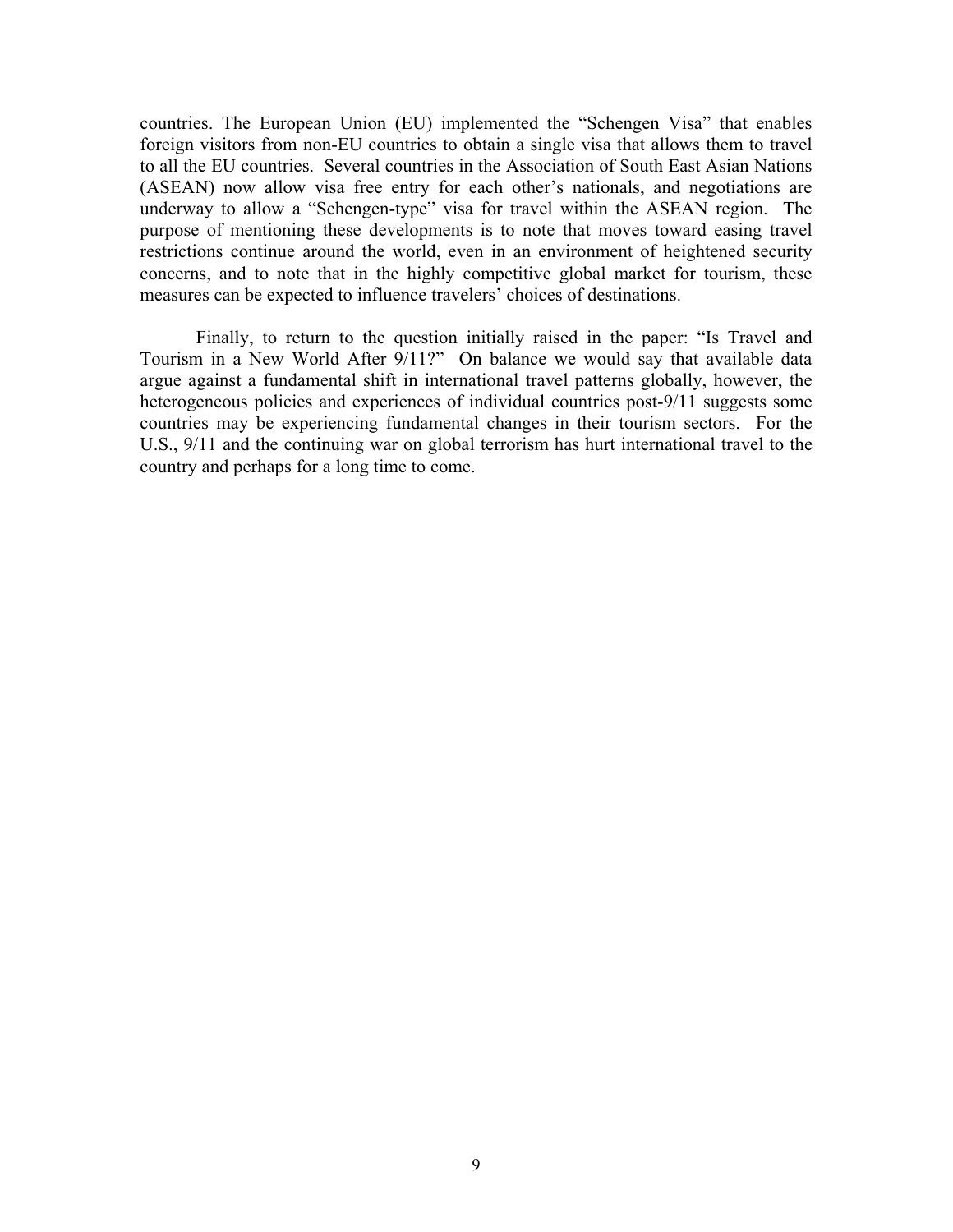countries. The European Union (EU) implemented the "Schengen Visa" that enables foreign visitors from non-EU countries to obtain a single visa that allows them to travel to all the EU countries. Several countries in the Association of South East Asian Nations (ASEAN) now allow visa free entry for each other's nationals, and negotiations are underway to allow a "Schengen-type" visa for travel within the ASEAN region. The purpose of mentioning these developments is to note that moves toward easing travel restrictions continue around the world, even in an environment of heightened security concerns, and to note that in the highly competitive global market for tourism, these measures can be expected to influence travelers' choices of destinations.

Finally, to return to the question initially raised in the paper: "Is Travel and Tourism in a New World After 9/11?" On balance we would say that available data argue against a fundamental shift in international travel patterns globally, however, the heterogeneous policies and experiences of individual countries post-9/11 suggests some countries may be experiencing fundamental changes in their tourism sectors. For the U.S., 9/11 and the continuing war on global terrorism has hurt international travel to the country and perhaps for a long time to come.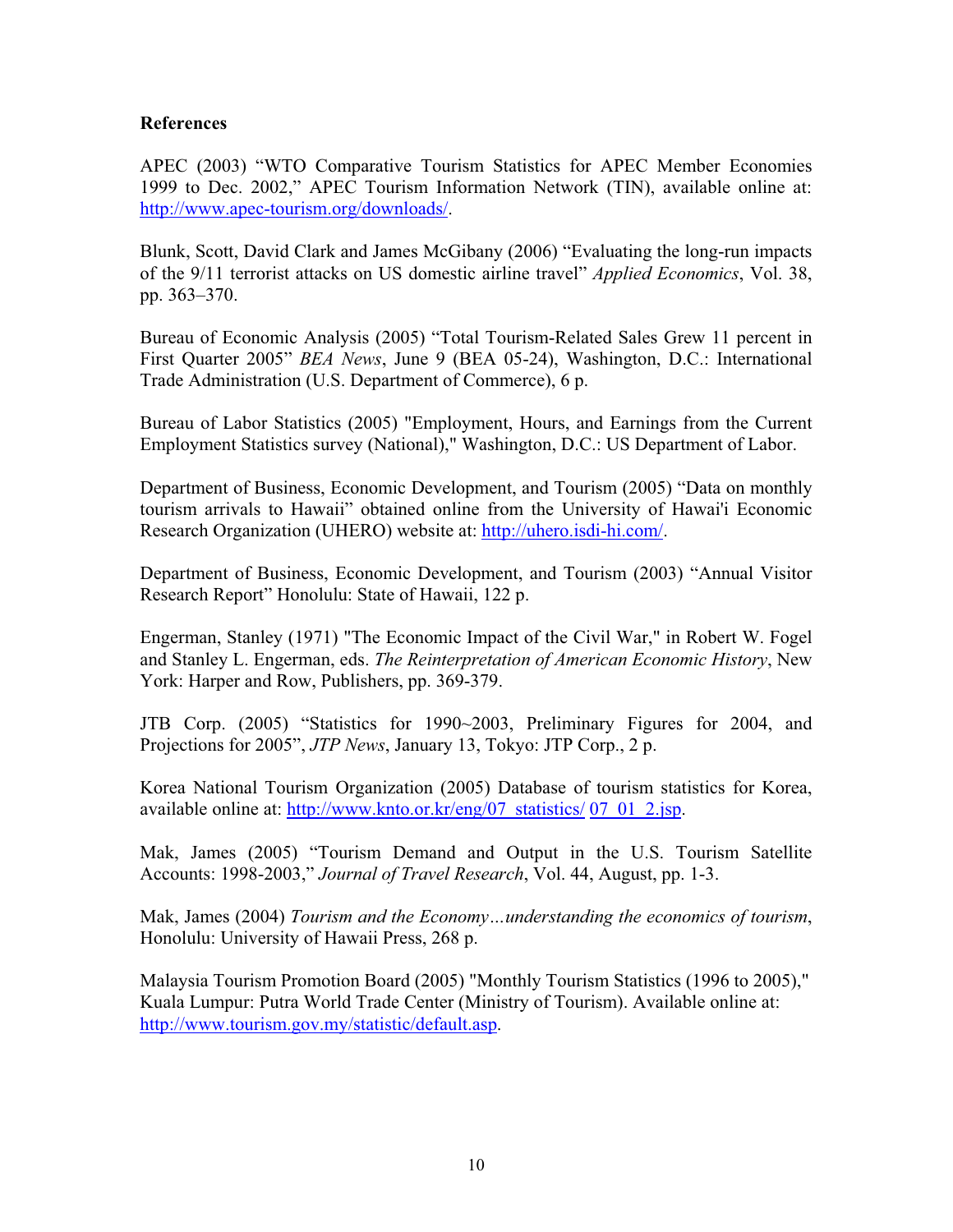## **References**

APEC (2003) "WTO Comparative Tourism Statistics for APEC Member Economies 1999 to Dec. 2002," APEC Tourism Information Network (TIN), available online at: http://www.apec-tourism.org/downloads/.

Blunk, Scott, David Clark and James McGibany (2006) "Evaluating the long-run impacts of the 9/11 terrorist attacks on US domestic airline travel" *Applied Economics*, Vol. 38, pp. 363–370.

Bureau of Economic Analysis (2005) "Total Tourism-Related Sales Grew 11 percent in First Quarter 2005" *BEA News*, June 9 (BEA 05-24), Washington, D.C.: International Trade Administration (U.S. Department of Commerce), 6 p.

Bureau of Labor Statistics (2005) "Employment, Hours, and Earnings from the Current Employment Statistics survey (National)," Washington, D.C.: US Department of Labor.

Department of Business, Economic Development, and Tourism (2005) "Data on monthly tourism arrivals to Hawaii" obtained online from the University of Hawai'i Economic Research Organization (UHERO) website at: http://uhero.isdi-hi.com/.

Department of Business, Economic Development, and Tourism (2003) "Annual Visitor Research Report" Honolulu: State of Hawaii, 122 p.

Engerman, Stanley (1971) "The Economic Impact of the Civil War," in Robert W. Fogel and Stanley L. Engerman, eds. *The Reinterpretation of American Economic History*, New York: Harper and Row, Publishers, pp. 369-379.

JTB Corp. (2005) "Statistics for 1990~2003, Preliminary Figures for 2004, and Projections for 2005", *JTP News*, January 13, Tokyo: JTP Corp., 2 p.

Korea National Tourism Organization (2005) Database of tourism statistics for Korea, available online at: http://www.knto.or.kr/eng/07\_statistics/ 07\_01\_2.jsp.

Mak, James (2005) "Tourism Demand and Output in the U.S. Tourism Satellite Accounts: 1998-2003," *Journal of Travel Research*, Vol. 44, August, pp. 1-3.

Mak, James (2004) *Tourism and the Economy…understanding the economics of tourism*, Honolulu: University of Hawaii Press, 268 p.

Malaysia Tourism Promotion Board (2005) "Monthly Tourism Statistics (1996 to 2005)," Kuala Lumpur: Putra World Trade Center (Ministry of Tourism). Available online at: http://www.tourism.gov.my/statistic/default.asp.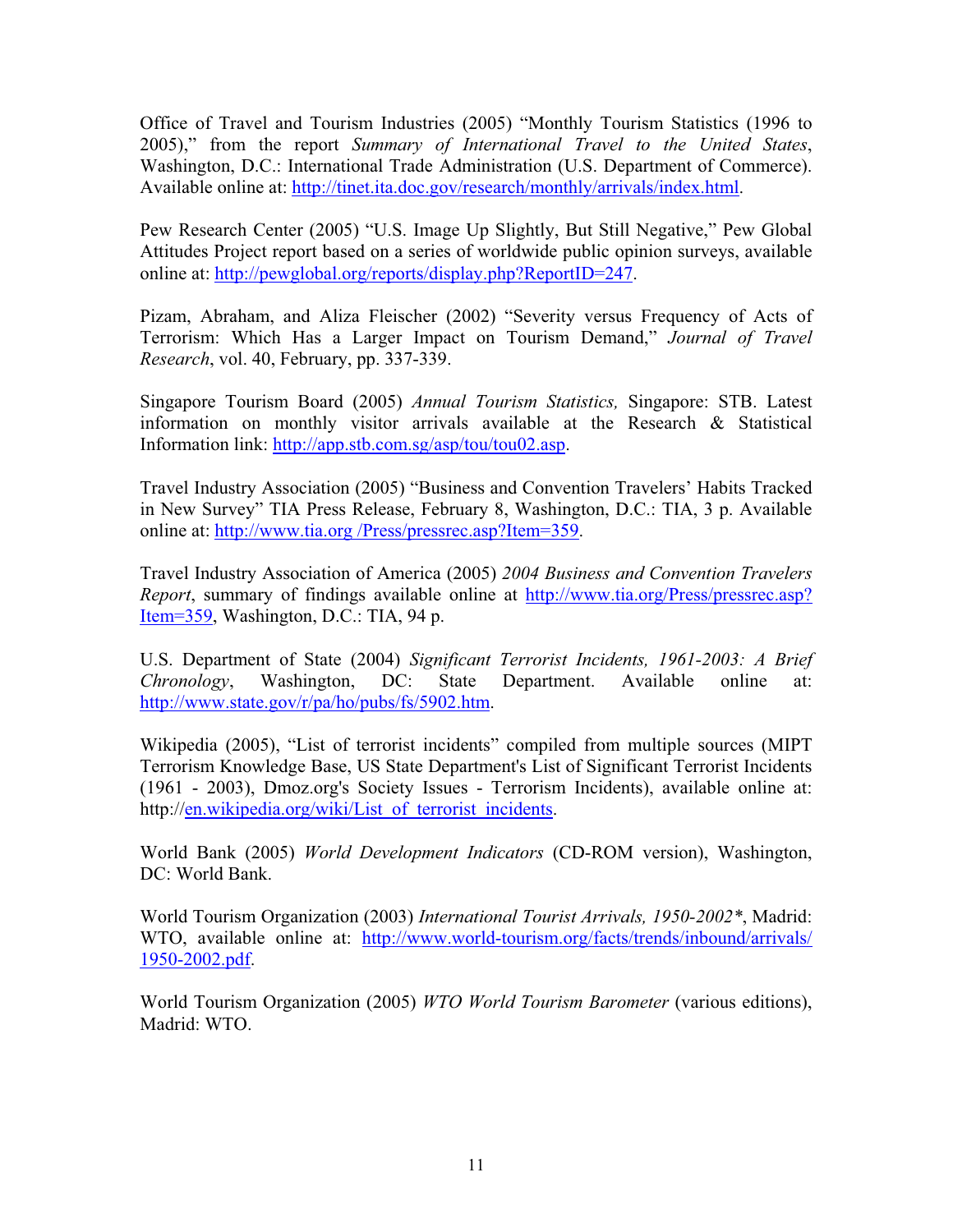Office of Travel and Tourism Industries (2005) "Monthly Tourism Statistics (1996 to 2005)," from the report *Summary of International Travel to the United States*, Washington, D.C.: International Trade Administration (U.S. Department of Commerce). Available online at: http://tinet.ita.doc.gov/research/monthly/arrivals/index.html.

Pew Research Center (2005) "U.S. Image Up Slightly, But Still Negative," Pew Global Attitudes Project report based on a series of worldwide public opinion surveys, available online at: http://pewglobal.org/reports/display.php?ReportID=247.

Pizam, Abraham, and Aliza Fleischer (2002) "Severity versus Frequency of Acts of Terrorism: Which Has a Larger Impact on Tourism Demand," *Journal of Travel Research*, vol. 40, February, pp. 337-339.

Singapore Tourism Board (2005) *Annual Tourism Statistics,* Singapore: STB. Latest information on monthly visitor arrivals available at the Research & Statistical Information link: http://app.stb.com.sg/asp/tou/tou02.asp.

Travel Industry Association (2005) "Business and Convention Travelers' Habits Tracked in New Survey" TIA Press Release, February 8, Washington, D.C.: TIA, 3 p. Available online at: http://www.tia.org /Press/pressrec.asp?Item=359.

Travel Industry Association of America (2005) *2004 Business and Convention Travelers Report*, summary of findings available online at http://www.tia.org/Press/pressrec.asp? Item=359, Washington, D.C.: TIA, 94 p.

U.S. Department of State (2004) *Significant Terrorist Incidents, 1961-2003: A Brief Chronology*, Washington, DC: State Department. Available online at: http://www.state.gov/r/pa/ho/pubs/fs/5902.htm.

Wikipedia (2005), "List of terrorist incidents" compiled from multiple sources (MIPT Terrorism Knowledge Base, US State Department's List of Significant Terrorist Incidents (1961 - 2003), Dmoz.org's Society Issues - Terrorism Incidents), available online at: http://en.wikipedia.org/wiki/List of terrorist incidents.

World Bank (2005) *World Development Indicators* (CD-ROM version), Washington, DC: World Bank.

World Tourism Organization (2003) *International Tourist Arrivals, 1950-2002\**, Madrid: WTO, available online at: http://www.world-tourism.org/facts/trends/inbound/arrivals/ 1950-2002.pdf.

World Tourism Organization (2005) *WTO World Tourism Barometer* (various editions), Madrid: WTO.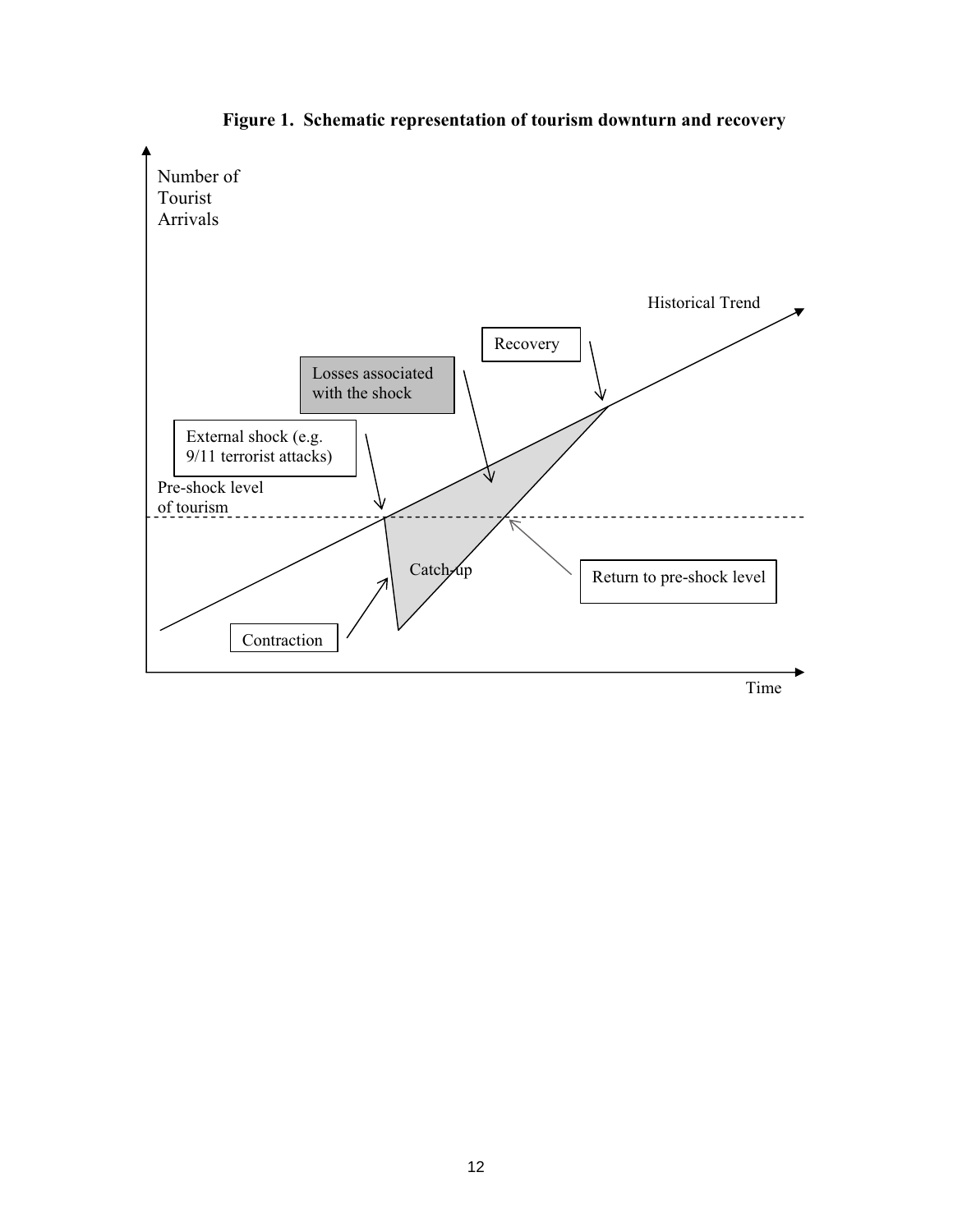

**Figure 1. Schematic representation of tourism downturn and recovery**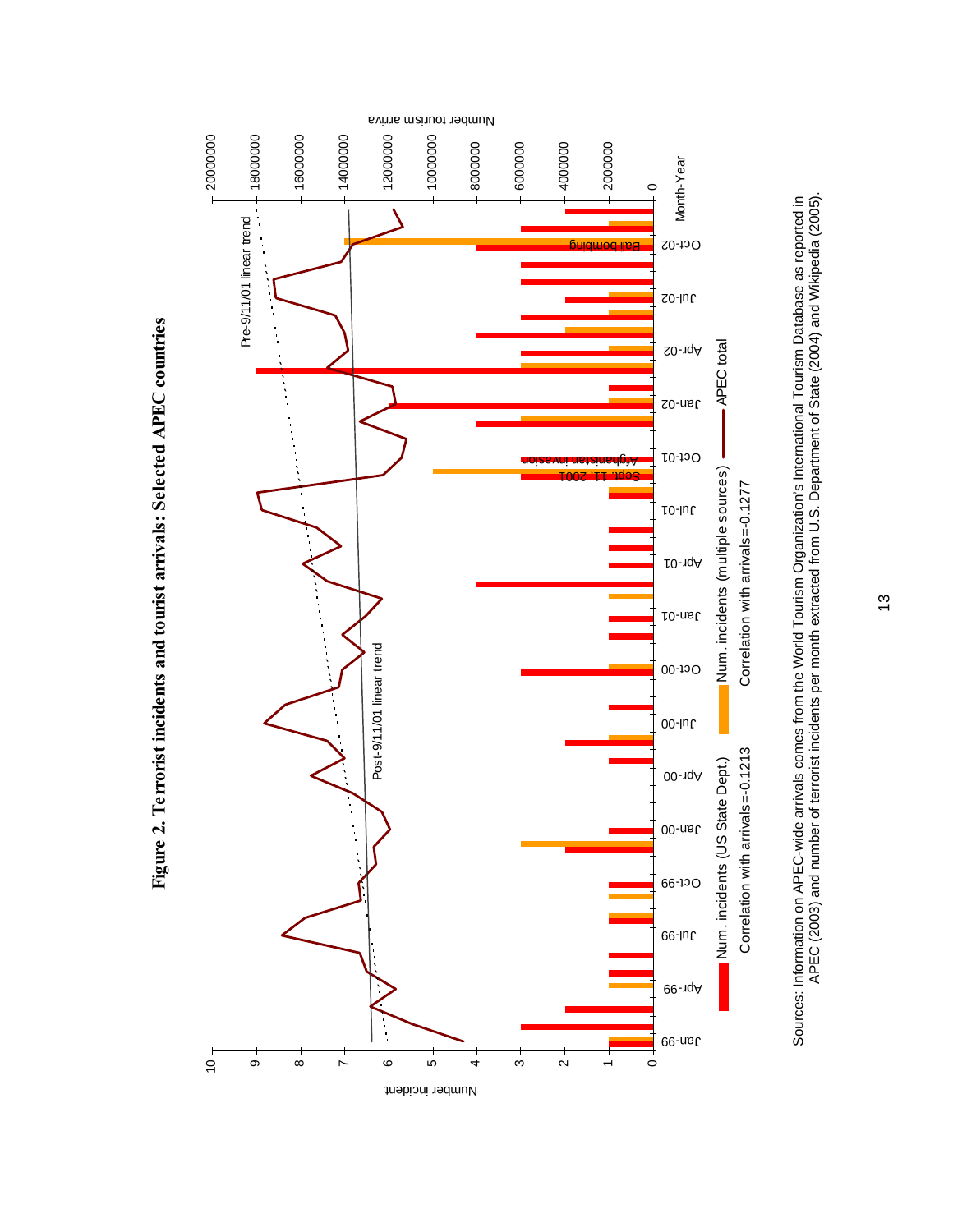

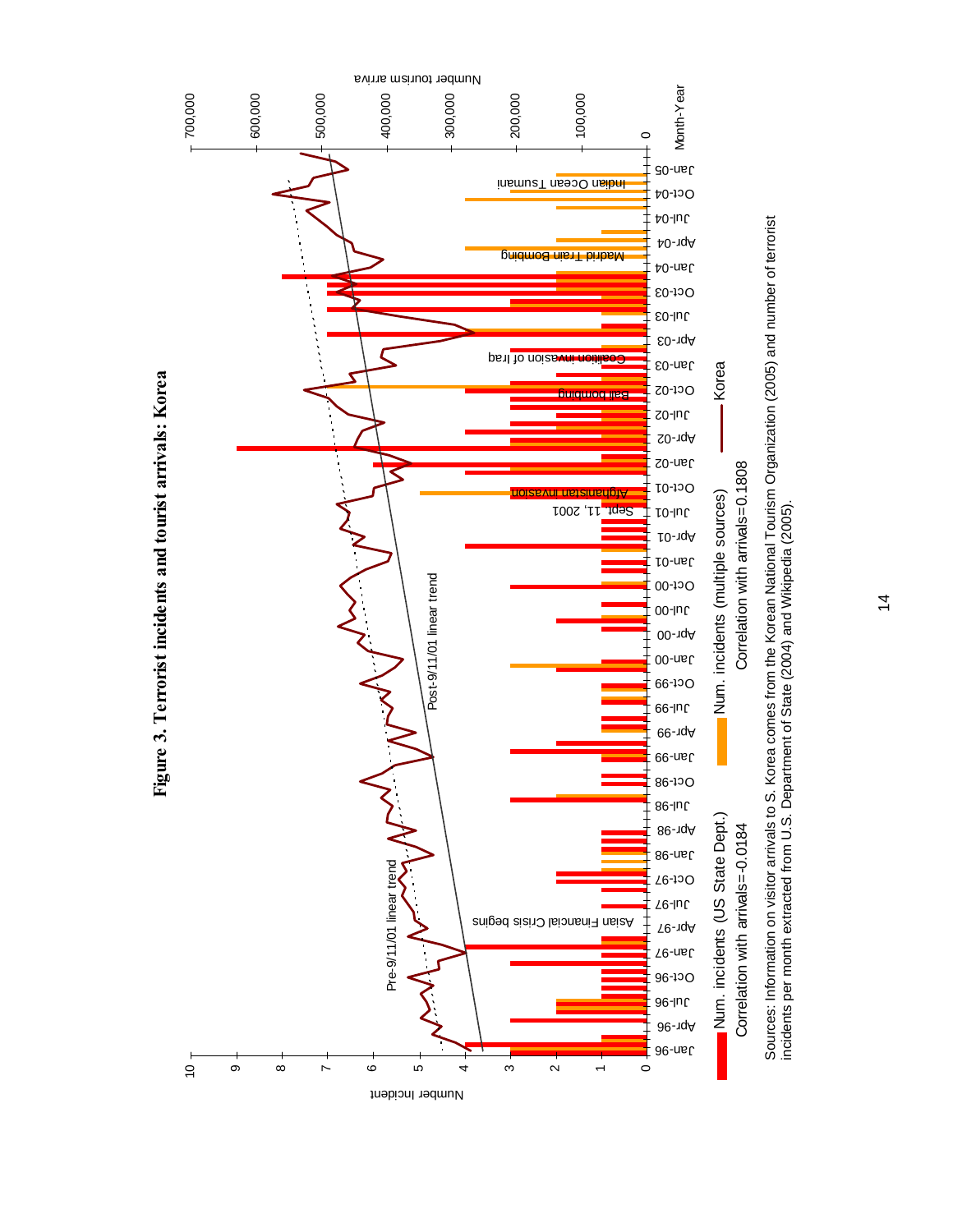

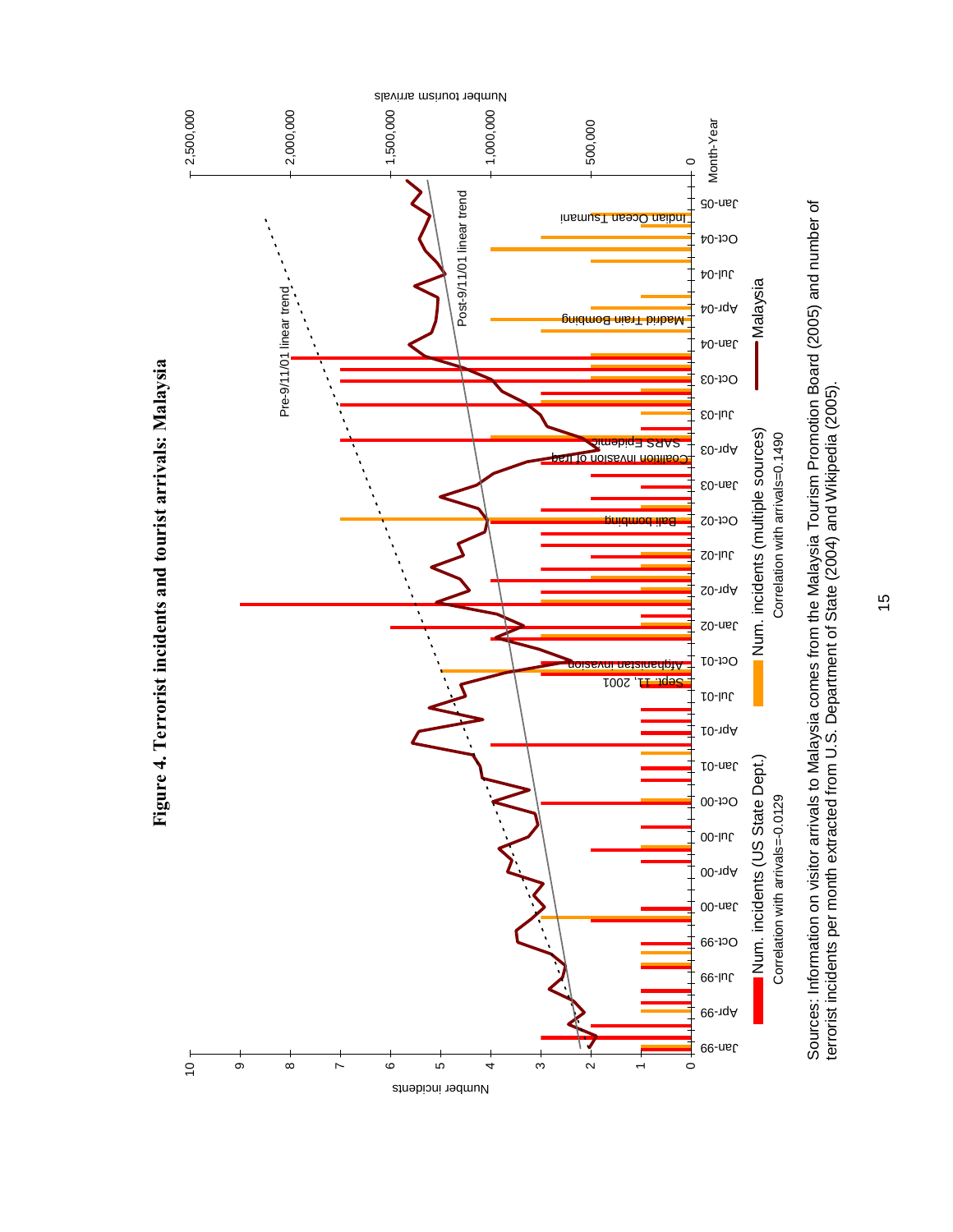

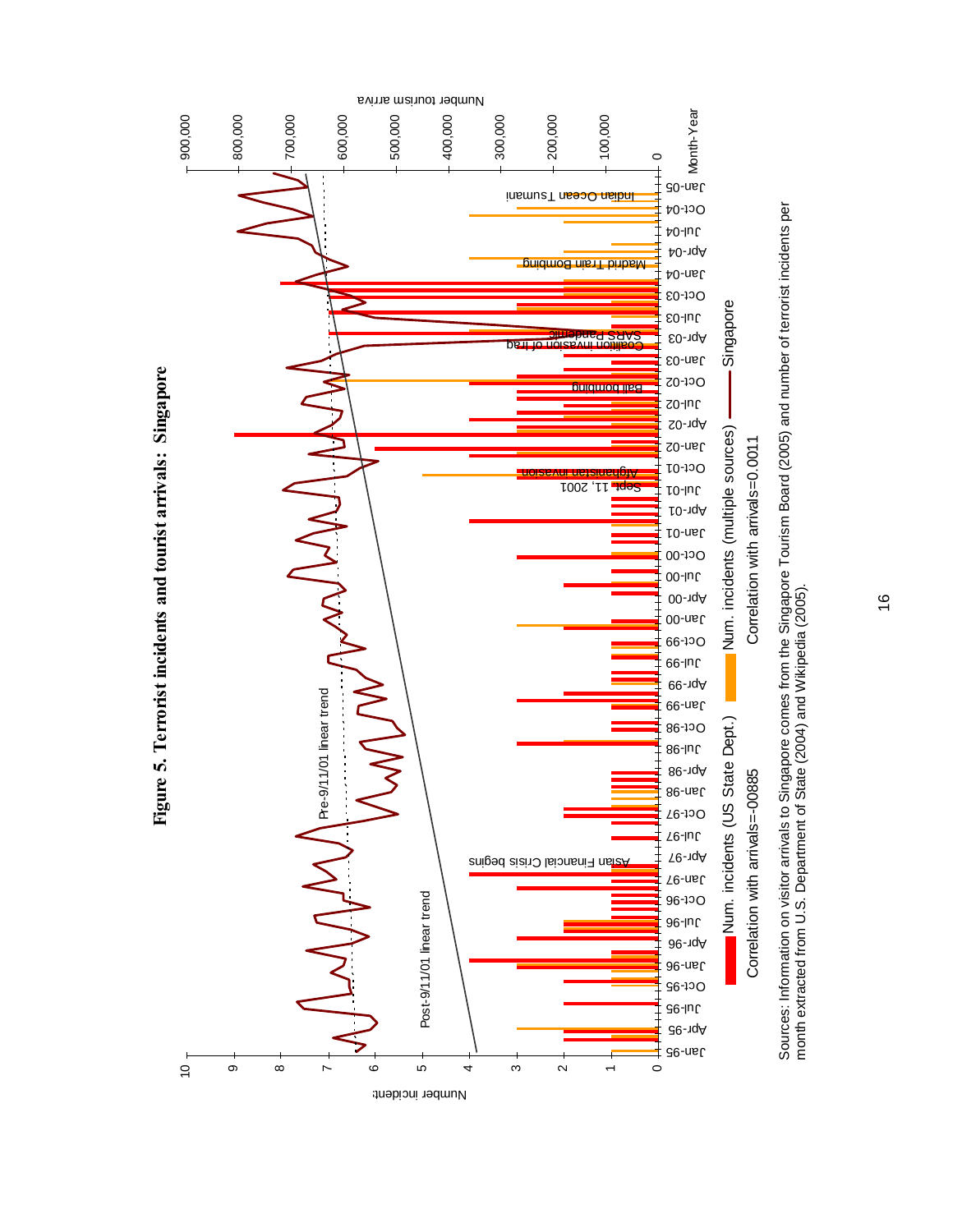

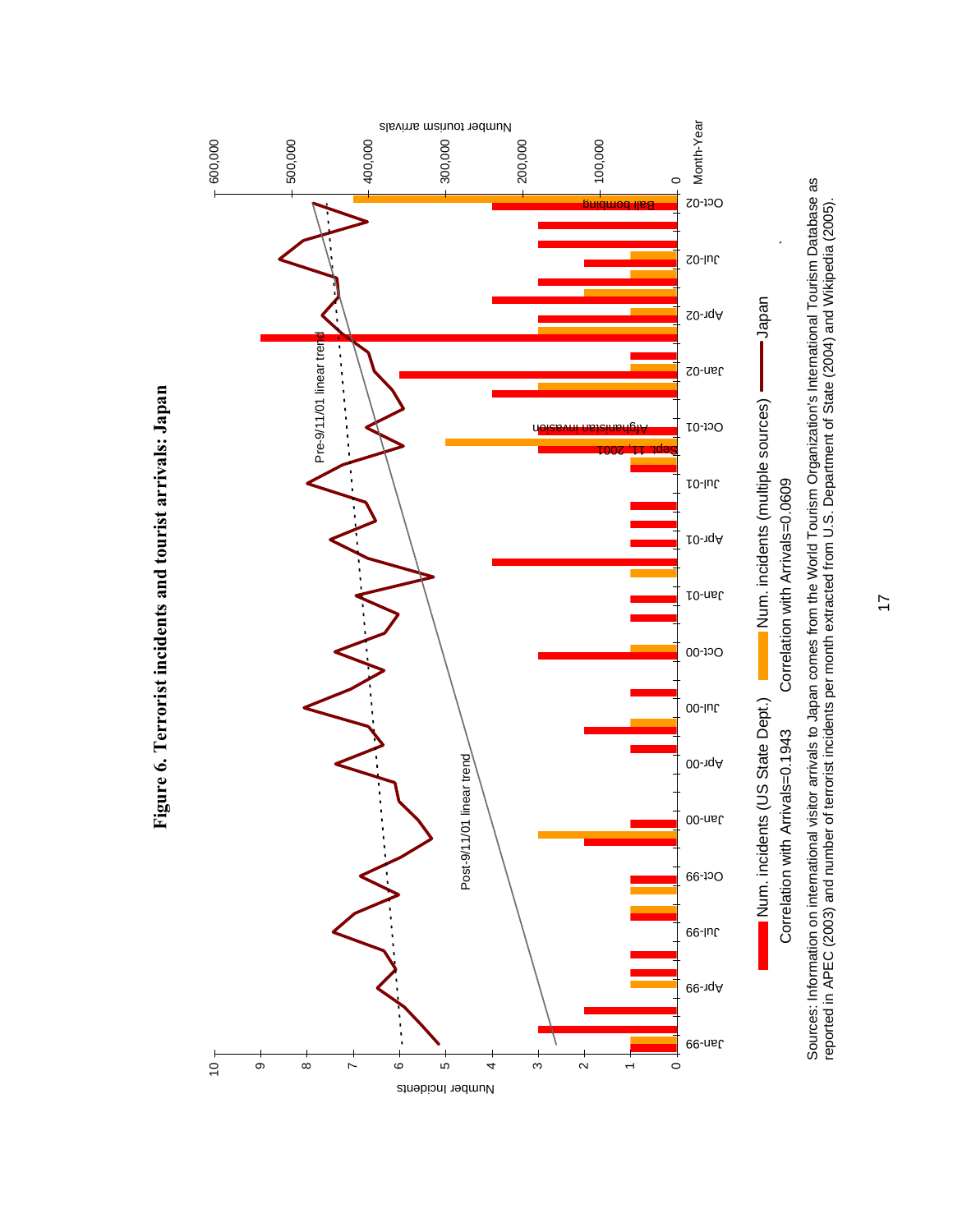

**Figure 6. Terrorist incidents and tourist arrivals: Japan**

Figure 6. Terrorist incidents and tourist arrivals: Japan

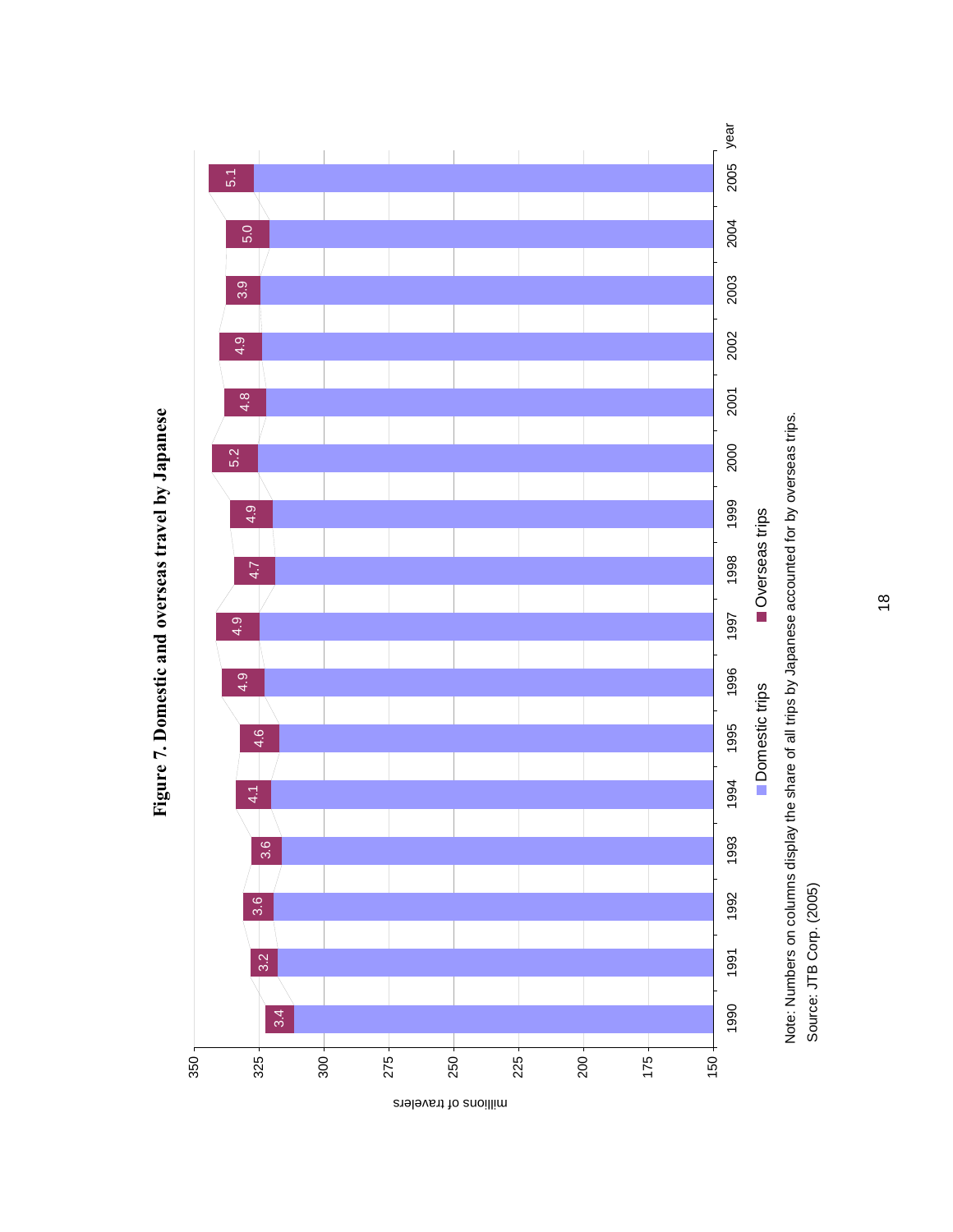

Figure 7. Domestic and overseas travel by Japanese **Figure 7. Domestic and overseas travel by Japanese**

18

Source: JTB Corp. (2005)

Source: JTB Corp. (2005)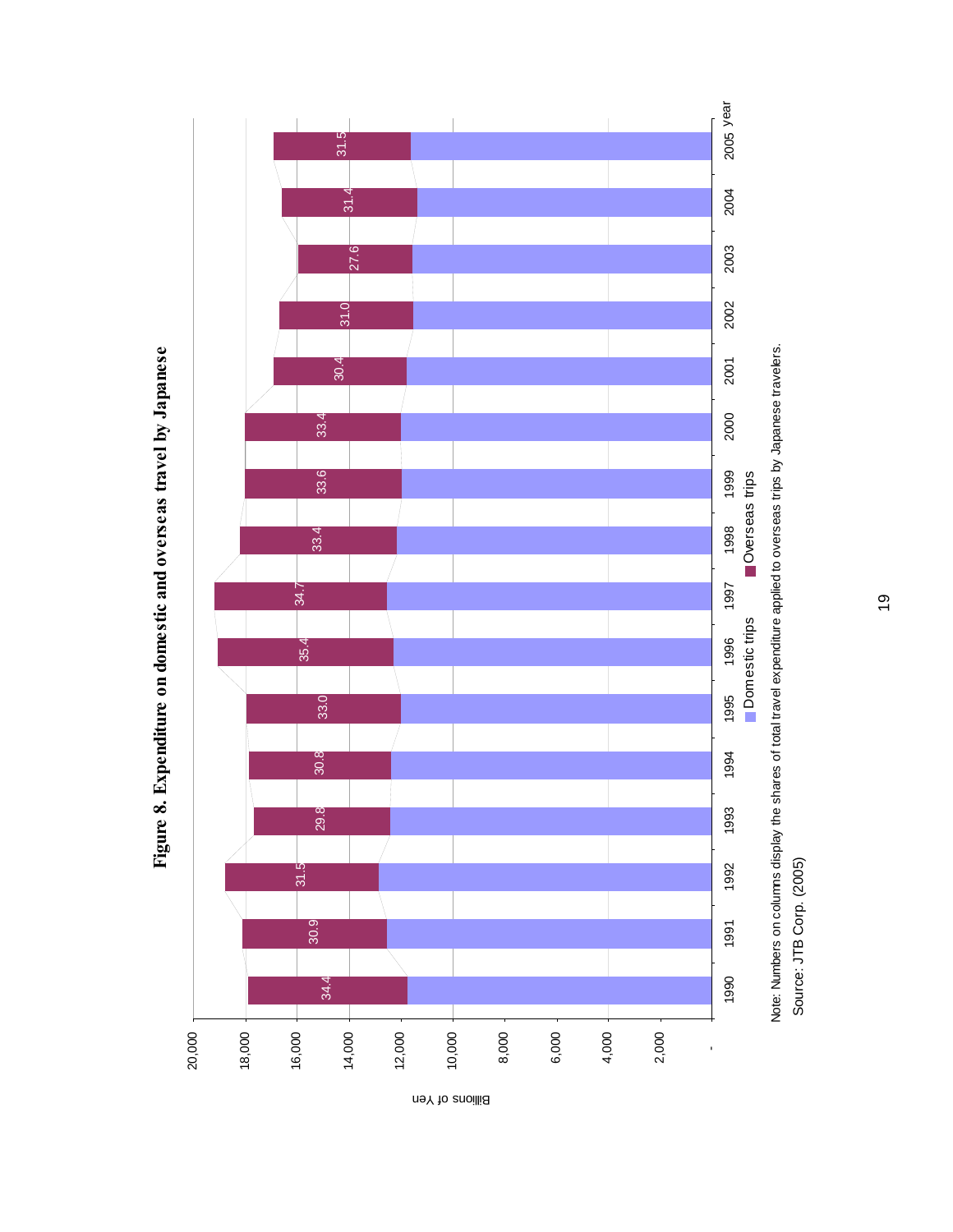

Figure 8. Expenditure on domestic and overseas travel by Japanese **Figure 8. Expenditure on domestic and overseas travel by Japanese**

Billions of Yen

19

Source: JTB Corp. (2005)

Source: JTB Corp. (2005)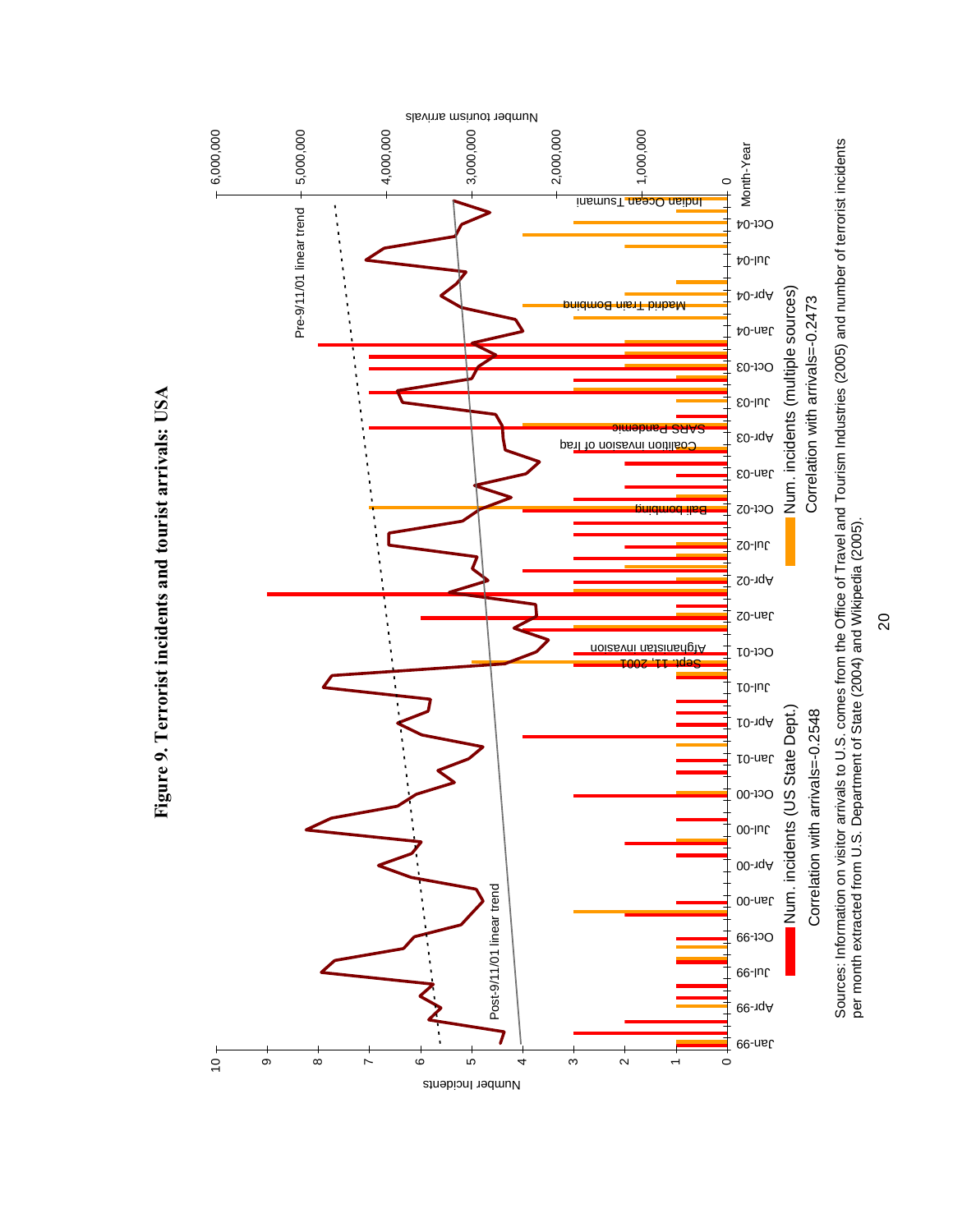

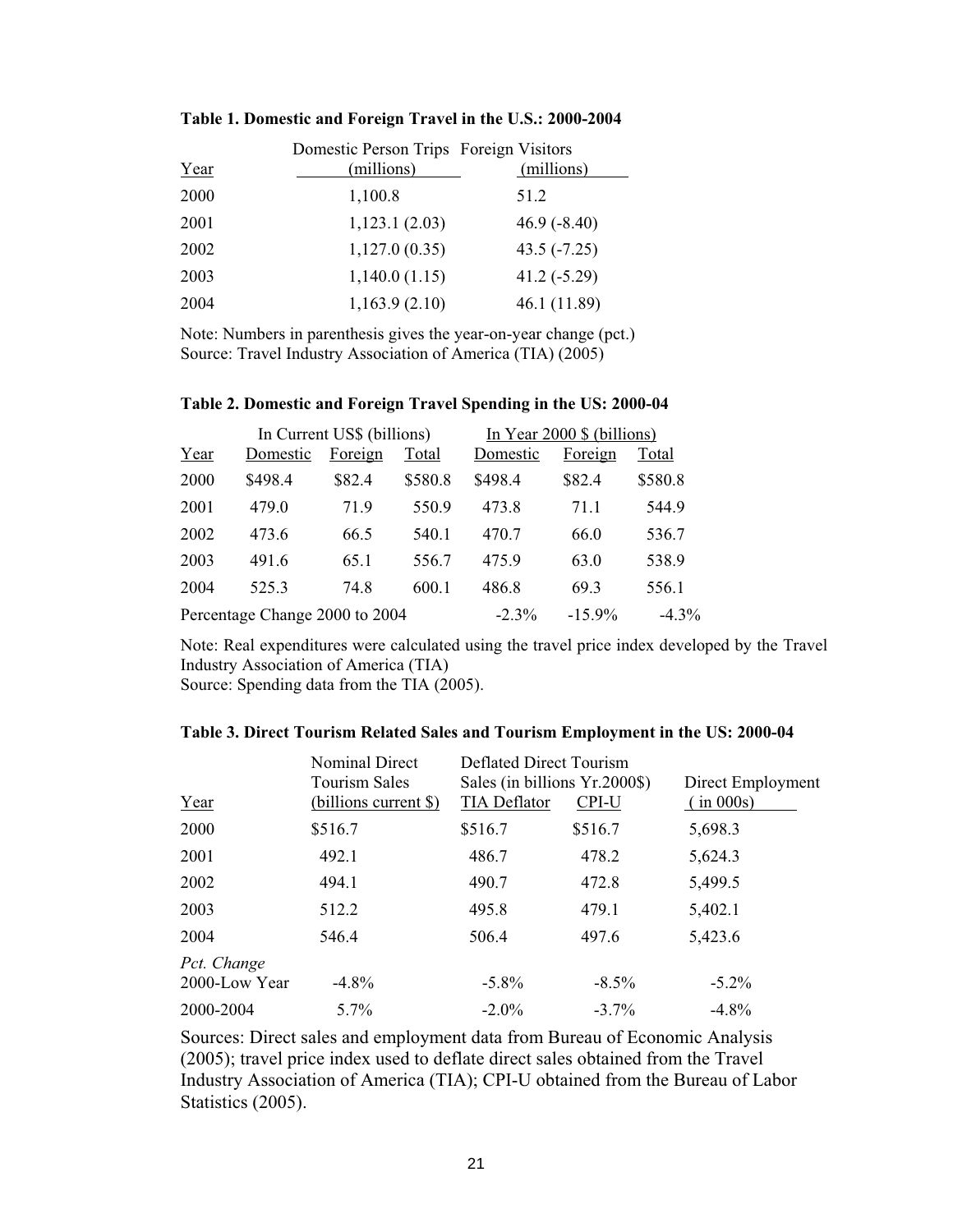|      | Domestic Person Trips Foreign Visitors |               |
|------|----------------------------------------|---------------|
| Year | (millions)                             | (millions)    |
| 2000 | 1,100.8                                | 51.2          |
| 2001 | 1,123.1(2.03)                          | $46.9(-8.40)$ |
| 2002 | 1,127.0(0.35)                          | $43.5(-7.25)$ |
| 2003 | 1,140.0(1.15)                          | $41.2(-5.29)$ |
| 2004 | 1,163.9(2.10)                          | 46.1 (11.89)  |

#### **Table 1. Domestic and Foreign Travel in the U.S.: 2000-2004**

Note: Numbers in parenthesis gives the year-on-year change (pct.) Source: Travel Industry Association of America (TIA) (2005)

|      | In Current US\$ (billions)     |         |         | In Year $2000 \$ (billions) |           |          |
|------|--------------------------------|---------|---------|-----------------------------|-----------|----------|
| Year | Domestic                       | Foreign | Total   | Domestic                    | Foreign   | Total    |
| 2000 | \$498.4                        | \$82.4  | \$580.8 | \$498.4                     | \$82.4    | \$580.8  |
| 2001 | 479.0                          | 71.9    | 550.9   | 473.8                       | 71.1      | 544.9    |
| 2002 | 473.6                          | 66.5    | 540.1   | 470.7                       | 66.0      | 536.7    |
| 2003 | 491.6                          | 65.1    | 556.7   | 475.9                       | 63.0      | 538.9    |
| 2004 | 525.3                          | 74.8    | 600.1   | 486.8                       | 69.3      | 556.1    |
|      | Percentage Change 2000 to 2004 |         |         | $-2.3\%$                    | $-15.9\%$ | $-4.3\%$ |

#### **Table 2. Domestic and Foreign Travel Spending in the US: 2000-04**

Note: Real expenditures were calculated using the travel price index developed by the Travel Industry Association of America (TIA)

 $\overline{\phantom{0}}$ 

Source: Spending data from the TIA (2005).

|               | Nominal Direct<br><b>Tourism Sales</b> | Deflated Direct Tourism<br>Sales (in billions Yr.2000\$) |          | Direct Employment |  |
|---------------|----------------------------------------|----------------------------------------------------------|----------|-------------------|--|
| Year          | (billions current \$)                  | <b>TIA Deflator</b>                                      | CPI-U    | (in 000s)         |  |
| 2000          | \$516.7                                | \$516.7                                                  | \$516.7  | 5,698.3           |  |
| 2001          | 492.1                                  | 486.7                                                    | 478.2    | 5,624.3           |  |
| 2002          | 494.1                                  | 490.7                                                    | 472.8    | 5,499.5           |  |
| 2003          | 512.2                                  | 495.8                                                    | 479.1    | 5,402.1           |  |
| 2004          | 546.4                                  | 506.4                                                    | 497.6    | 5,423.6           |  |
| Pct. Change   |                                        |                                                          |          |                   |  |
| 2000-Low Year | $-4.8\%$                               | $-5.8\%$                                                 | $-8.5\%$ | $-5.2\%$          |  |
| 2000-2004     | $5.7\%$                                | $-2.0\%$                                                 | $-3.7\%$ | $-4.8\%$          |  |

Sources: Direct sales and employment data from Bureau of Economic Analysis (2005); travel price index used to deflate direct sales obtained from the Travel Industry Association of America (TIA); CPI-U obtained from the Bureau of Labor Statistics (2005).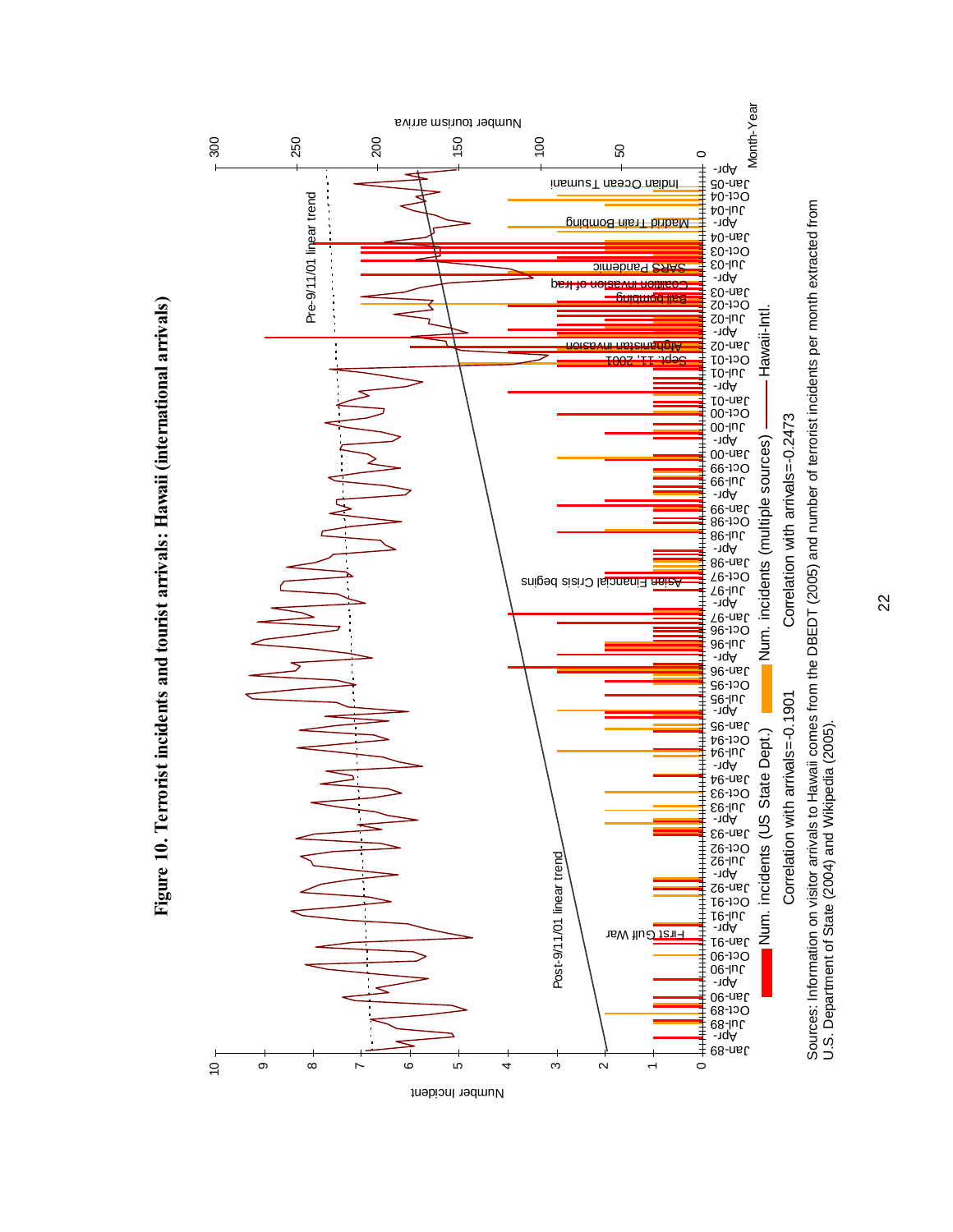

U.S. Department of State (2004) and Wikipedia (2005).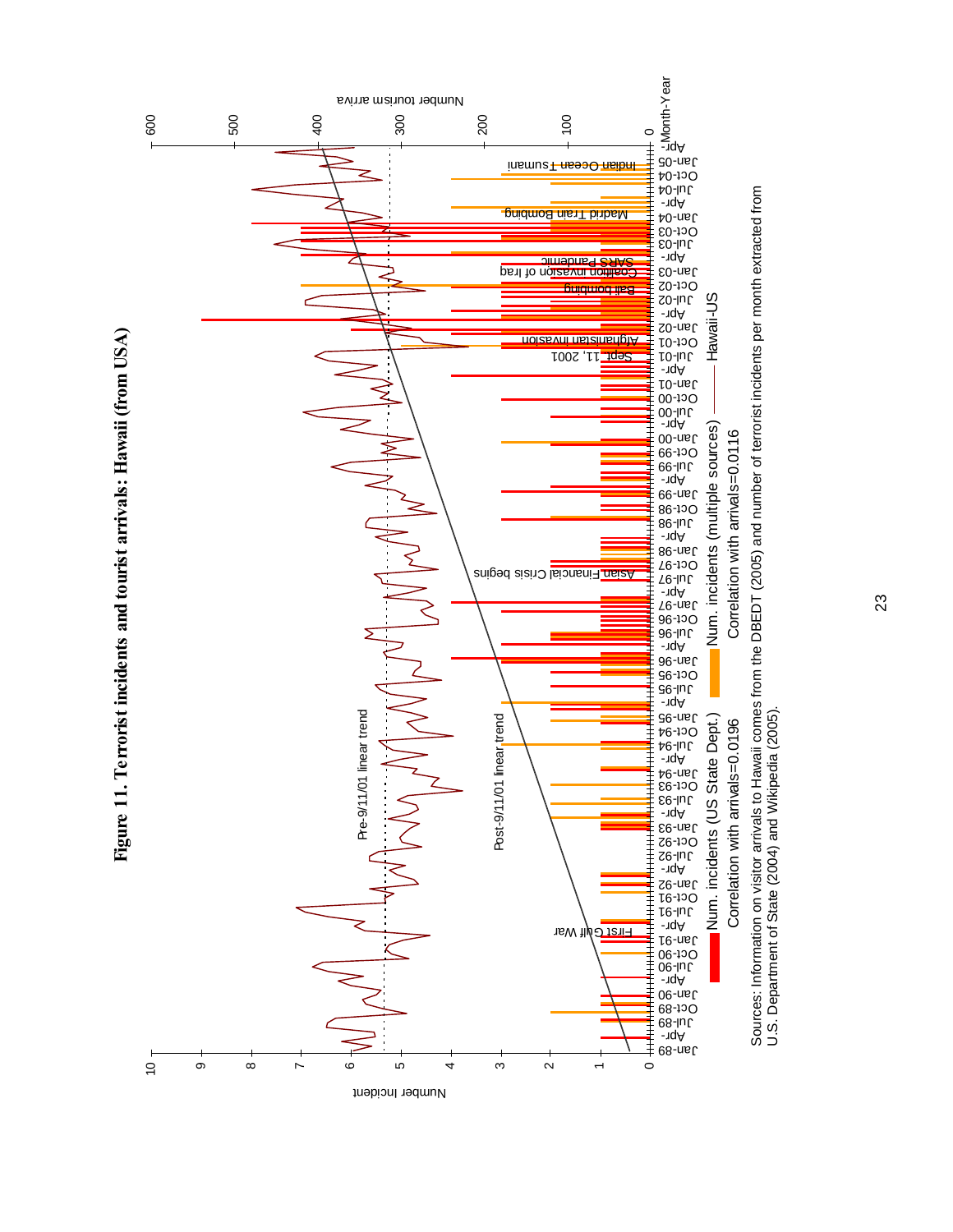